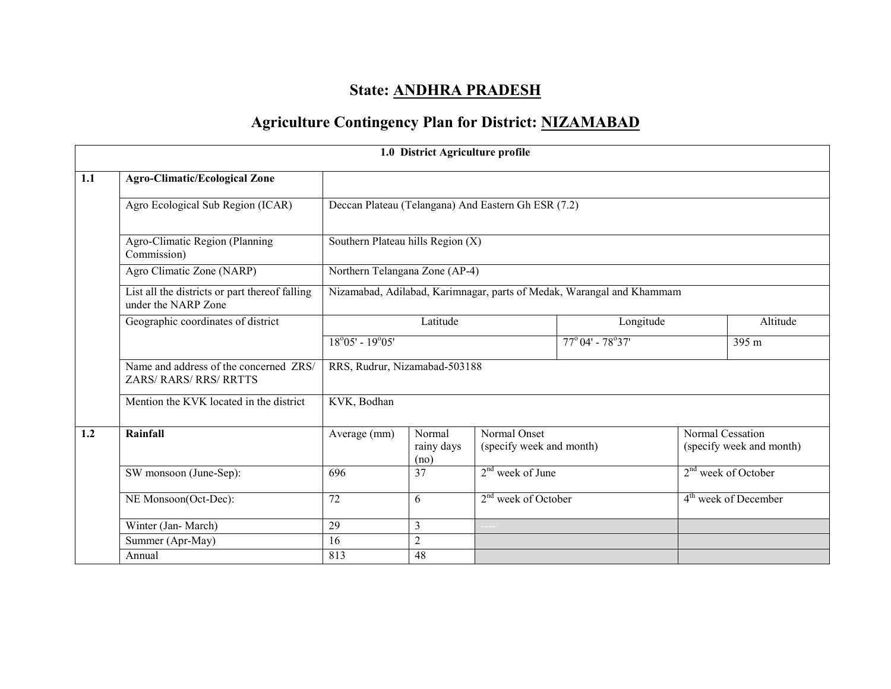# State: ANDHRA PRADESH

## Agriculture Contingency Plan for District: NIZAMABAD

|     |                                                                       |                                                                       | 1.0 District Agriculture profile                                         |                                                     |                                   |                                              |                       |
|-----|-----------------------------------------------------------------------|-----------------------------------------------------------------------|--------------------------------------------------------------------------|-----------------------------------------------------|-----------------------------------|----------------------------------------------|-----------------------|
| 1.1 | <b>Agro-Climatic/Ecological Zone</b>                                  |                                                                       |                                                                          |                                                     |                                   |                                              |                       |
|     | Agro Ecological Sub Region (ICAR)                                     |                                                                       |                                                                          | Deccan Plateau (Telangana) And Eastern Gh ESR (7.2) |                                   |                                              |                       |
|     | Agro-Climatic Region (Planning<br>Commission)                         | Southern Plateau hills Region (X)                                     |                                                                          |                                                     |                                   |                                              |                       |
|     | Agro Climatic Zone (NARP)                                             | Northern Telangana Zone (AP-4)                                        |                                                                          |                                                     |                                   |                                              |                       |
|     | List all the districts or part thereof falling<br>under the NARP Zone | Nizamabad, Adilabad, Karimnagar, parts of Medak, Warangal and Khammam |                                                                          |                                                     |                                   |                                              |                       |
|     | Geographic coordinates of district                                    | Latitude                                                              |                                                                          | Longitude                                           |                                   | Altitude                                     |                       |
|     |                                                                       | $18^{\circ}05' - 19^{\circ}05'$                                       |                                                                          |                                                     | $77^{\circ}04'$ - $78^{\circ}37'$ |                                              | 395 m                 |
|     | Name and address of the concerned ZRS/<br>ZARS/RARS/RRS/RRTTS         | RRS, Rudrur, Nizamabad-503188                                         |                                                                          |                                                     |                                   |                                              |                       |
|     | Mention the KVK located in the district                               | KVK, Bodhan                                                           |                                                                          |                                                     |                                   |                                              |                       |
| 1.2 | Rainfall                                                              | Average (mm)                                                          | Normal Onset<br>Normal<br>(specify week and month)<br>rainy days<br>(no) |                                                     |                                   | Normal Cessation<br>(specify week and month) |                       |
|     | SW monsoon (June-Sep):                                                | 696                                                                   | 37                                                                       | $2nd$ week of June                                  |                                   |                                              | $2nd$ week of October |
|     | NE Monsoon(Oct-Dec):                                                  | 2 <sup>nd</sup> week of October<br>72<br>6                            |                                                                          | 4 <sup>th</sup> week of December                    |                                   |                                              |                       |
|     | Winter (Jan-March)                                                    | 29                                                                    | $\overline{3}$                                                           |                                                     |                                   |                                              |                       |
|     | Summer (Apr-May)                                                      | 16                                                                    | $\overline{2}$                                                           |                                                     |                                   |                                              |                       |
|     | Annual                                                                | 813                                                                   | 48                                                                       |                                                     |                                   |                                              |                       |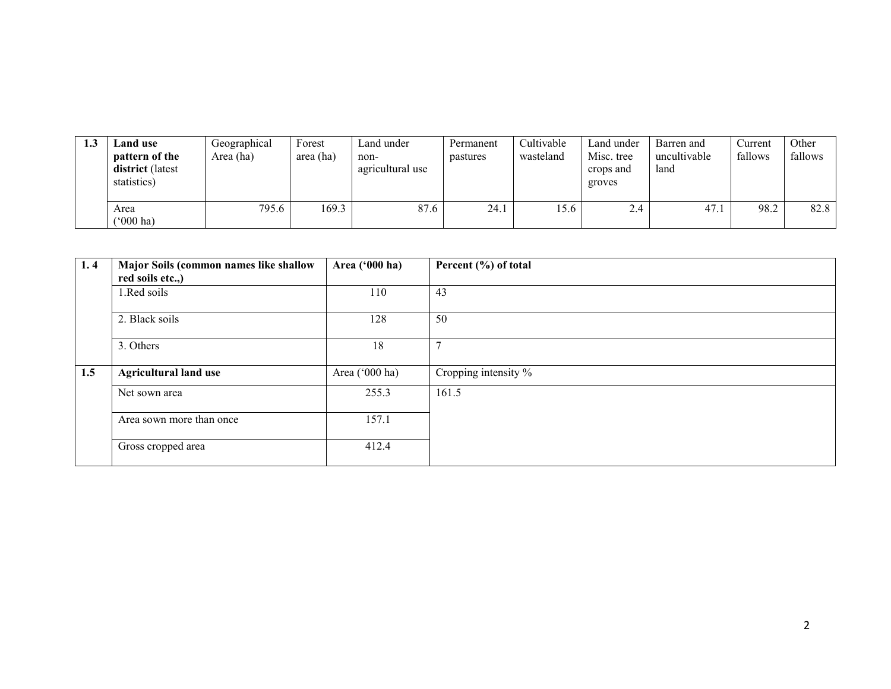| 1.J | <b>Land use</b><br>pattern of the<br>district (latest<br>statistics) | Geographical<br>Area (ha) | Forest<br>area (ha) | Land under<br>non-<br>agricultural use | Permanent<br>pastures | Cultivable<br>wasteland | Land under<br>Misc. tree<br>crops and<br>groves | Barren and<br>uncultivable<br>land | Current<br>fallows | Other<br>fallows |
|-----|----------------------------------------------------------------------|---------------------------|---------------------|----------------------------------------|-----------------------|-------------------------|-------------------------------------------------|------------------------------------|--------------------|------------------|
|     | Area<br>$(5000)$ ha)                                                 | 795.6                     | 169.3               | 87.6                                   | 24.1                  | 15.6                    | 2.4                                             | 47.1                               | 98.2               | 82.8             |

| 1.4 | Major Soils (common names like shallow | Area ('000 ha) | Percent (%) of total    |
|-----|----------------------------------------|----------------|-------------------------|
|     | red soils etc.,)                       |                |                         |
|     | 1.Red soils                            | 110            | 43                      |
|     | 2. Black soils                         | 128            | 50                      |
|     | 3. Others                              | 18             | $\overline{ }$          |
| 1.5 | <b>Agricultural land use</b>           | Area ('000 ha) | Cropping intensity $\%$ |
|     | Net sown area                          | 255.3          | 161.5                   |
|     | Area sown more than once               | 157.1          |                         |
|     | Gross cropped area                     | 412.4          |                         |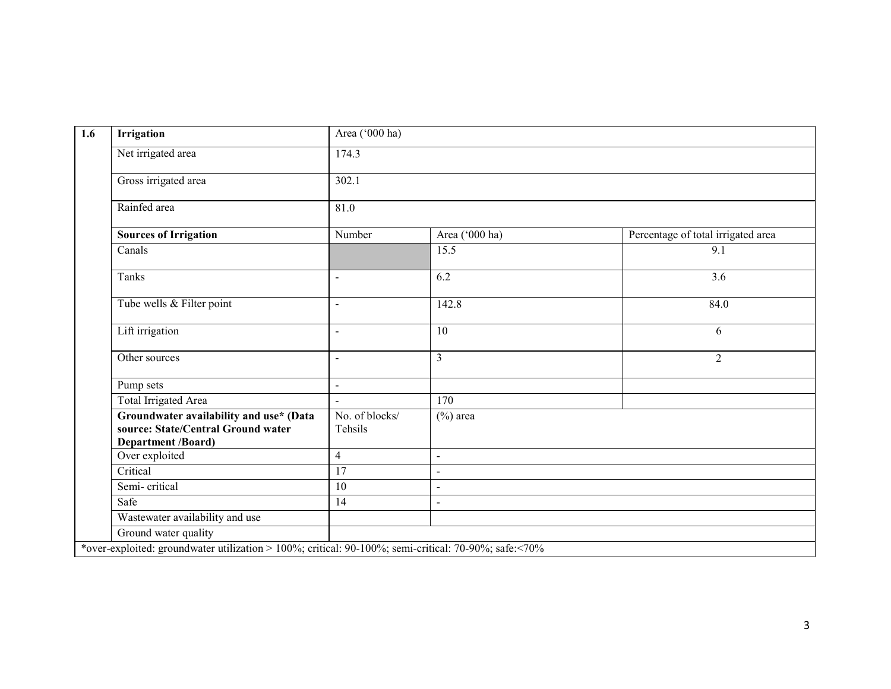| Irrigation      |                                                                                                            | Area ('000 ha)            |                          |                                    |  |  |  |
|-----------------|------------------------------------------------------------------------------------------------------------|---------------------------|--------------------------|------------------------------------|--|--|--|
|                 | Net irrigated area                                                                                         | 174.3                     |                          |                                    |  |  |  |
|                 | Gross irrigated area                                                                                       | 302.1                     |                          |                                    |  |  |  |
| Rainfed area    |                                                                                                            | 81.0                      |                          |                                    |  |  |  |
|                 | <b>Sources of Irrigation</b>                                                                               | Number                    | Area ('000 ha)           | Percentage of total irrigated area |  |  |  |
| Canals          |                                                                                                            |                           | 15.5                     | $\overline{9.1}$                   |  |  |  |
| Tanks           |                                                                                                            | $\overline{a}$            | 6.2                      | 3.6                                |  |  |  |
|                 | Tube wells & Filter point                                                                                  | $\blacksquare$            | 142.8                    | 84.0                               |  |  |  |
| Lift irrigation |                                                                                                            | $\blacksquare$            | 10                       | 6                                  |  |  |  |
| Other sources   |                                                                                                            | $\overline{a}$            | $\overline{3}$           | $\overline{2}$                     |  |  |  |
| Pump sets       |                                                                                                            | $\blacksquare$            |                          |                                    |  |  |  |
|                 | <b>Total Irrigated Area</b>                                                                                | $\blacksquare$            | 170                      |                                    |  |  |  |
|                 | Groundwater availability and use* (Data<br>source: State/Central Ground water<br><b>Department /Board)</b> | No. of blocks/<br>Tehsils | $(\%)$ area              |                                    |  |  |  |
| Over exploited  |                                                                                                            | $\overline{4}$            | $\overline{a}$           |                                    |  |  |  |
| Critical        |                                                                                                            | 17                        | $\overline{\phantom{a}}$ |                                    |  |  |  |
| Semi-critical   |                                                                                                            | 10                        | $\blacksquare$           |                                    |  |  |  |
| Safe            |                                                                                                            | 14                        | $\overline{a}$           |                                    |  |  |  |
|                 | Wastewater availability and use                                                                            |                           |                          |                                    |  |  |  |
|                 | Ground water quality                                                                                       |                           |                          |                                    |  |  |  |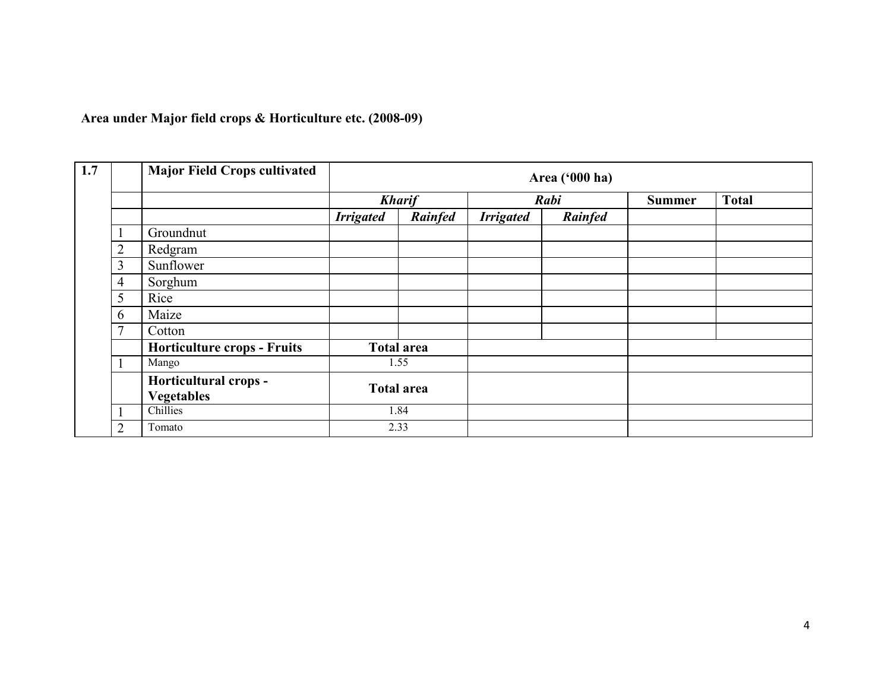Area under Major field crops & Horticulture etc. (2008-09)

| $\overline{1.7}$ |                | <b>Major Field Crops cultivated</b>        |                  |                   |                  | Area ('000 ha) |               |              |
|------------------|----------------|--------------------------------------------|------------------|-------------------|------------------|----------------|---------------|--------------|
|                  |                |                                            |                  | <b>Kharif</b>     |                  | Rabi           | <b>Summer</b> | <b>Total</b> |
|                  |                |                                            | <b>Irrigated</b> | Rainfed           | <b>Irrigated</b> | Rainfed        |               |              |
|                  |                | Groundnut                                  |                  |                   |                  |                |               |              |
|                  | 2              | Redgram                                    |                  |                   |                  |                |               |              |
|                  | 3              | Sunflower                                  |                  |                   |                  |                |               |              |
|                  | $\overline{4}$ | Sorghum                                    |                  |                   |                  |                |               |              |
|                  | 5              | Rice                                       |                  |                   |                  |                |               |              |
|                  | 6              | Maize                                      |                  |                   |                  |                |               |              |
|                  | 7              | Cotton                                     |                  |                   |                  |                |               |              |
|                  |                | <b>Horticulture crops - Fruits</b>         |                  | <b>Total area</b> |                  |                |               |              |
|                  |                | Mango                                      |                  | 1.55              |                  |                |               |              |
|                  |                | Horticultural crops -<br><b>Vegetables</b> |                  | <b>Total area</b> |                  |                |               |              |
|                  |                | Chillies                                   |                  | 1.84              |                  |                |               |              |
|                  | $\overline{2}$ | Tomato                                     |                  | 2.33              |                  |                |               |              |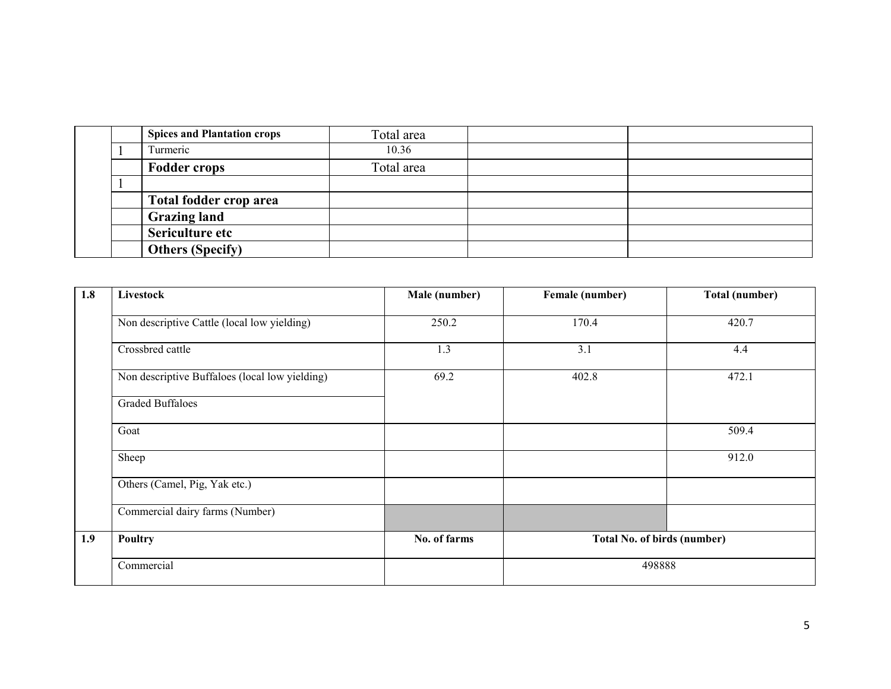|  | <b>Spices and Plantation crops</b> | Total area |  |
|--|------------------------------------|------------|--|
|  | Turmeric                           | 10.36      |  |
|  | <b>Fodder crops</b>                | Total area |  |
|  |                                    |            |  |
|  | Total fodder crop area             |            |  |
|  | <b>Grazing land</b>                |            |  |
|  | Sericulture etc                    |            |  |
|  | <b>Others (Specify)</b>            |            |  |

| 1.8 | Livestock                                      | Male (number) | Female (number)             | Total (number) |
|-----|------------------------------------------------|---------------|-----------------------------|----------------|
|     | Non descriptive Cattle (local low yielding)    | 250.2         | 170.4                       | 420.7          |
|     | Crossbred cattle                               | 1.3           | 3.1                         | 4.4            |
|     | Non descriptive Buffaloes (local low yielding) | 69.2          | 402.8                       | 472.1          |
|     | <b>Graded Buffaloes</b>                        |               |                             |                |
|     | Goat                                           |               |                             | 509.4          |
|     | Sheep                                          |               |                             | 912.0          |
|     | Others (Camel, Pig, Yak etc.)                  |               |                             |                |
|     | Commercial dairy farms (Number)                |               |                             |                |
| 1.9 | Poultry                                        | No. of farms  | Total No. of birds (number) |                |
|     | Commercial                                     |               | 498888                      |                |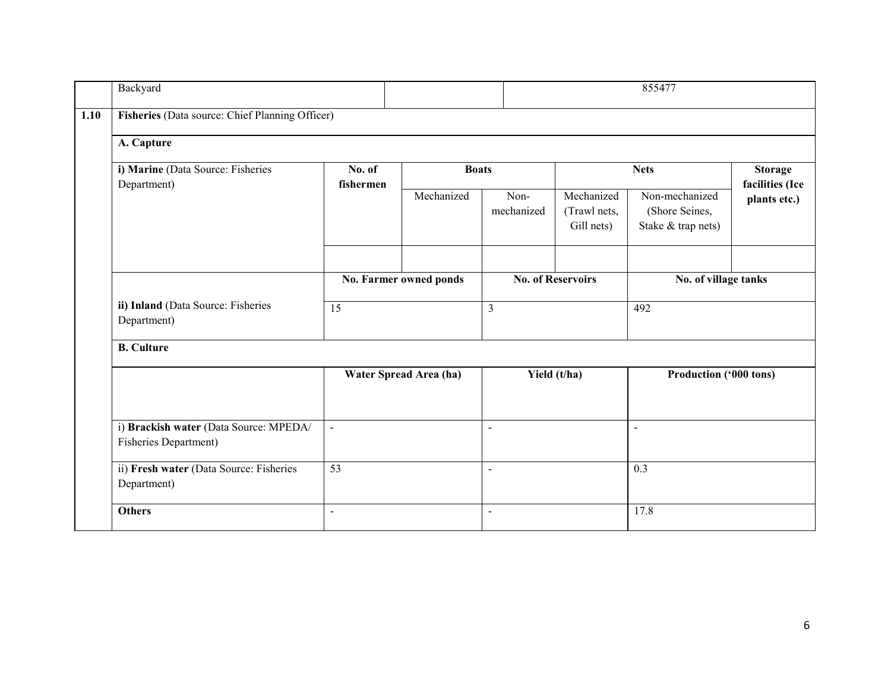| Backyard                                                               |                |                           |                    | 855477                                   |                                                        |                                   |
|------------------------------------------------------------------------|----------------|---------------------------|--------------------|------------------------------------------|--------------------------------------------------------|-----------------------------------|
| Fisheries (Data source: Chief Planning Officer)                        |                |                           |                    |                                          |                                                        |                                   |
| A. Capture                                                             |                |                           |                    |                                          |                                                        |                                   |
| i) Marine (Data Source: Fisheries<br>Department)                       | No. of         | <b>Boats</b><br>fishermen |                    |                                          | <b>Nets</b>                                            | <b>Storage</b><br>facilities (Ice |
|                                                                        |                | Mechanized                | Non-<br>mechanized | Mechanized<br>(Trawl nets,<br>Gill nets) | Non-mechanized<br>(Shore Seines,<br>Stake & trap nets) | plants etc.)                      |
|                                                                        |                | No. Farmer owned ponds    |                    | <b>No. of Reservoirs</b>                 | No. of village tanks                                   |                                   |
| ii) Inland (Data Source: Fisheries<br>Department)                      | 15             |                           | $\mathfrak{Z}$     |                                          | 492                                                    |                                   |
| <b>B.</b> Culture                                                      |                |                           |                    |                                          |                                                        |                                   |
|                                                                        |                | Water Spread Area (ha)    |                    | Yield (t/ha)                             | Production ('000 tons)                                 |                                   |
| i) Brackish water (Data Source: MPEDA/<br><b>Fisheries Department)</b> | $\blacksquare$ |                           | $\blacksquare$     |                                          | $\overline{a}$                                         |                                   |
| ii) Fresh water (Data Source: Fisheries<br>Department)                 | 53             |                           | $\blacksquare$     |                                          | 0.3                                                    |                                   |
| <b>Others</b>                                                          | $\blacksquare$ |                           | $\blacksquare$     |                                          | 17.8                                                   |                                   |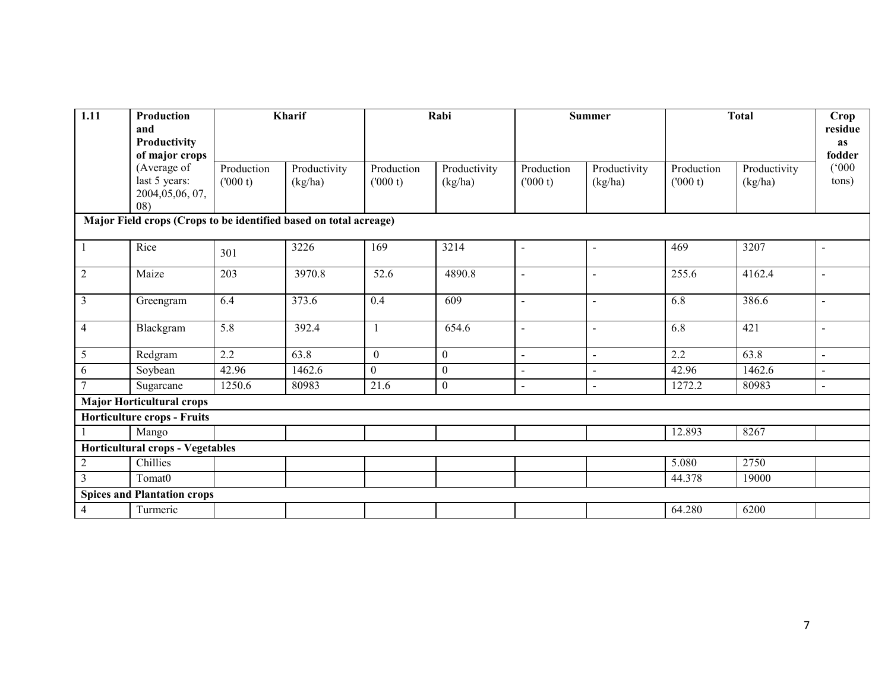| 1.11           | Production<br>and<br>Productivity<br>of major crops               |                       | Kharif                  |                       | Rabi                    |                          | <b>Summer</b>           |                       | <b>Total</b>            | Crop<br>residue<br>as<br>fodder |
|----------------|-------------------------------------------------------------------|-----------------------|-------------------------|-----------------------|-------------------------|--------------------------|-------------------------|-----------------------|-------------------------|---------------------------------|
|                | (Average of<br>last 5 years:<br>2004,05,06, 07,<br>08)            | Production<br>(000 t) | Productivity<br>(kg/ha) | Production<br>(000 t) | Productivity<br>(kg/ha) | Production<br>(000 t)    | Productivity<br>(kg/ha) | Production<br>(000 t) | Productivity<br>(kg/ha) | (000)<br>tons)                  |
|                | Major Field crops (Crops to be identified based on total acreage) |                       |                         |                       |                         |                          |                         |                       |                         |                                 |
| -1             | Rice                                                              | 301                   | 3226                    | 169                   | 3214                    | $\blacksquare$           |                         | 469                   | 3207                    | $\blacksquare$                  |
| $\overline{2}$ | Maize                                                             | 203                   | 3970.8                  | 52.6                  | 4890.8                  | $\overline{\phantom{a}}$ |                         | 255.6                 | 4162.4                  | $\blacksquare$                  |
| $\overline{3}$ | Greengram                                                         | 6.4                   | 373.6                   | 0.4                   | 609                     | $\overline{\phantom{a}}$ |                         | 6.8                   | 386.6                   | $\blacksquare$                  |
| $\overline{4}$ | Blackgram                                                         | 5.8                   | 392.4                   | 1                     | 654.6                   | $\overline{\phantom{a}}$ |                         | 6.8                   | 421                     | $\blacksquare$                  |
| 5              | Redgram                                                           | 2.2                   | 63.8                    | $\mathbf{0}$          | $\mathbf{0}$            | $\blacksquare$           |                         | 2.2                   | 63.8                    |                                 |
| 6              | Soybean                                                           | 42.96                 | 1462.6                  | $\boldsymbol{0}$      | $\mathbf{0}$            |                          |                         | 42.96                 | 1462.6                  | $\overline{a}$                  |
| 7              | Sugarcane                                                         | 1250.6                | 80983                   | 21.6                  | $\boldsymbol{0}$        | $\blacksquare$           | $\mathbf{r}$            | 1272.2                | 80983                   | $\sim$                          |
|                | <b>Major Horticultural crops</b>                                  |                       |                         |                       |                         |                          |                         |                       |                         |                                 |
|                | <b>Horticulture crops - Fruits</b>                                |                       |                         |                       |                         |                          |                         |                       |                         |                                 |
|                | Mango                                                             |                       |                         |                       |                         |                          |                         | 12.893                | 8267                    |                                 |
|                | <b>Horticultural crops - Vegetables</b>                           |                       |                         |                       |                         |                          |                         |                       |                         |                                 |
| $\overline{c}$ | Chillies                                                          |                       |                         |                       |                         |                          |                         | 5.080                 | 2750                    |                                 |
| 3              | Tomat <sub>0</sub>                                                |                       |                         |                       |                         |                          |                         | 44.378                | 19000                   |                                 |
|                | <b>Spices and Plantation crops</b>                                |                       |                         |                       |                         |                          |                         |                       |                         |                                 |
| 4              | Turmeric                                                          |                       |                         |                       |                         |                          |                         | 64.280                | 6200                    |                                 |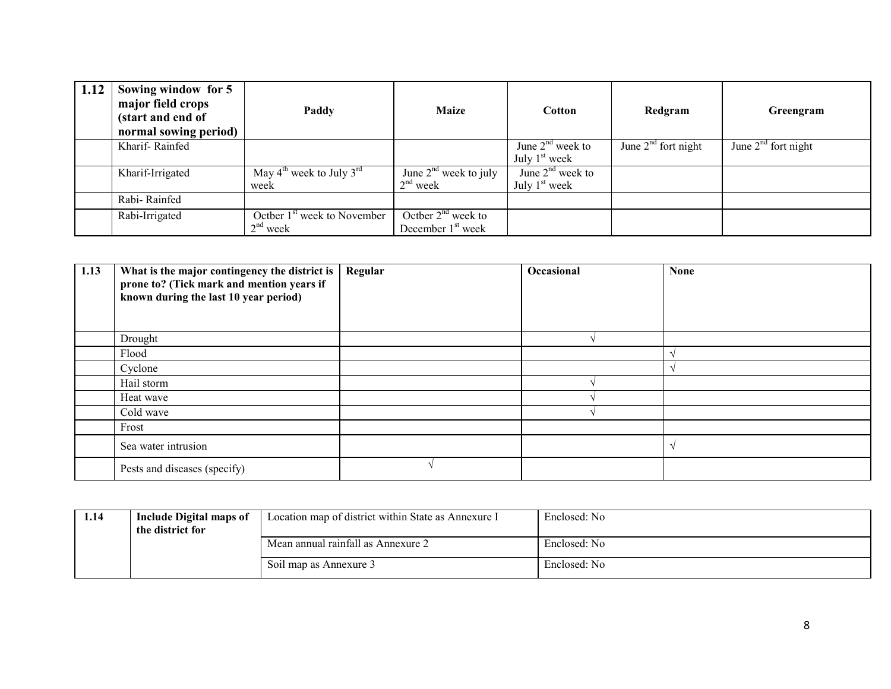| 1.12 | Sowing window for 5<br>major field crops<br>(start and end of<br>normal sowing period) | Paddy                                                    | <b>Maize</b>                                          | Cotton                                | Redgram               | Greengram             |
|------|----------------------------------------------------------------------------------------|----------------------------------------------------------|-------------------------------------------------------|---------------------------------------|-----------------------|-----------------------|
|      | Kharif-Rainfed                                                                         |                                                          |                                                       | June $2nd$ week to<br>July $1st$ week | June $2nd$ fort night | June $2nd$ fort night |
|      | Kharif-Irrigated                                                                       | May $4^{\text{th}}$ week to July $3^{\text{rd}}$<br>week | June $2^{nd}$ week to july<br>$2nd$ week              | June $2nd$ week to<br>July $1st$ week |                       |                       |
|      | Rabi-Rainfed                                                                           |                                                          |                                                       |                                       |                       |                       |
|      | Rabi-Irrigated                                                                         | Octber $1st$ week to November<br>$2nd$ week              | Octber $2nd$ week to<br>December 1 <sup>st</sup> week |                                       |                       |                       |

| 1.13 | What is the major contingency the district is<br>prone to? (Tick mark and mention years if<br>known during the last 10 year period) | Regular | Occasional | <b>None</b> |
|------|-------------------------------------------------------------------------------------------------------------------------------------|---------|------------|-------------|
|      | Drought                                                                                                                             |         |            |             |
|      | Flood                                                                                                                               |         |            |             |
|      | Cyclone                                                                                                                             |         |            |             |
|      | Hail storm                                                                                                                          |         |            |             |
|      | Heat wave                                                                                                                           |         |            |             |
|      | Cold wave                                                                                                                           |         |            |             |
|      | Frost                                                                                                                               |         |            |             |
|      | Sea water intrusion                                                                                                                 |         |            |             |
|      | Pests and diseases (specify)                                                                                                        |         |            |             |

| 1.14 | Include Digital maps of<br>the district for | Location map of district within State as Annexure I | Enclosed: No |
|------|---------------------------------------------|-----------------------------------------------------|--------------|
|      |                                             | Mean annual rainfall as Annexure 2                  | Enclosed: No |
|      |                                             | Soil map as Annexure 3                              | Enclosed: No |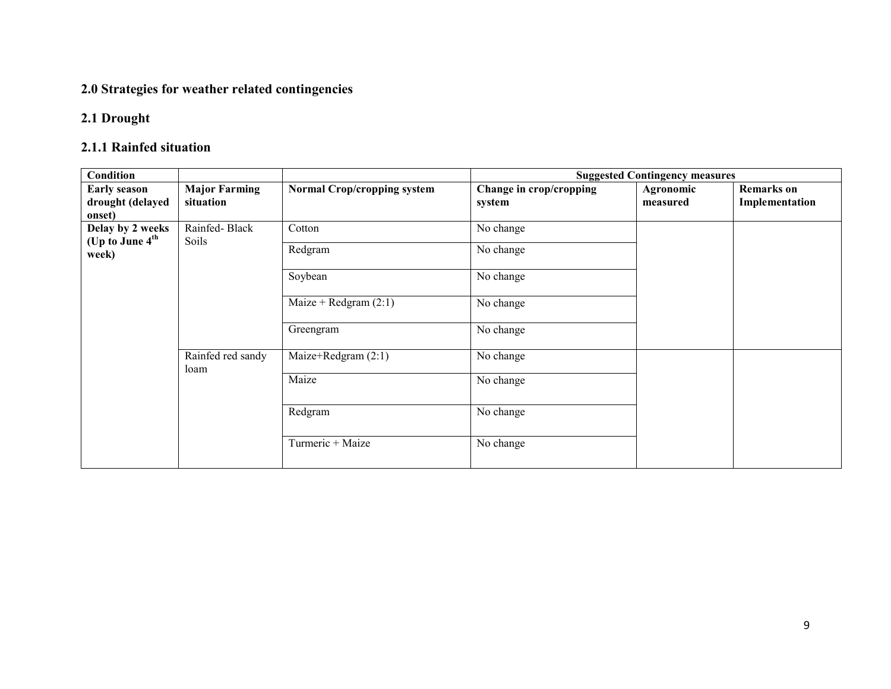### 2.0 Strategies for weather related contingencies

#### 2.1 Drought

## 2.1.1 Rainfed situation

| <b>Condition</b>                                  |                                   |                                    |                                   | <b>Suggested Contingency measures</b> |                                     |
|---------------------------------------------------|-----------------------------------|------------------------------------|-----------------------------------|---------------------------------------|-------------------------------------|
| <b>Early season</b><br>drought (delayed<br>onset) | <b>Major Farming</b><br>situation | <b>Normal Crop/cropping system</b> | Change in crop/cropping<br>system | Agronomic<br>measured                 | <b>Remarks</b> on<br>Implementation |
| Delay by 2 weeks                                  | Rainfed-Black                     | Cotton                             | No change                         |                                       |                                     |
| (Up to June 4 <sup>th</sup><br>week)              | Soils                             | Redgram                            | No change                         |                                       |                                     |
|                                                   |                                   | Soybean                            | No change                         |                                       |                                     |
|                                                   |                                   | Maize + Redgram $(2:1)$            | No change                         |                                       |                                     |
|                                                   |                                   | Greengram                          | No change                         |                                       |                                     |
|                                                   | Rainfed red sandy<br>loam         | Maize+Redgram $(2:1)$              | No change                         |                                       |                                     |
|                                                   |                                   | Maize                              | No change                         |                                       |                                     |
|                                                   |                                   | Redgram                            | No change                         |                                       |                                     |
|                                                   |                                   | Turmeric + Maize                   | No change                         |                                       |                                     |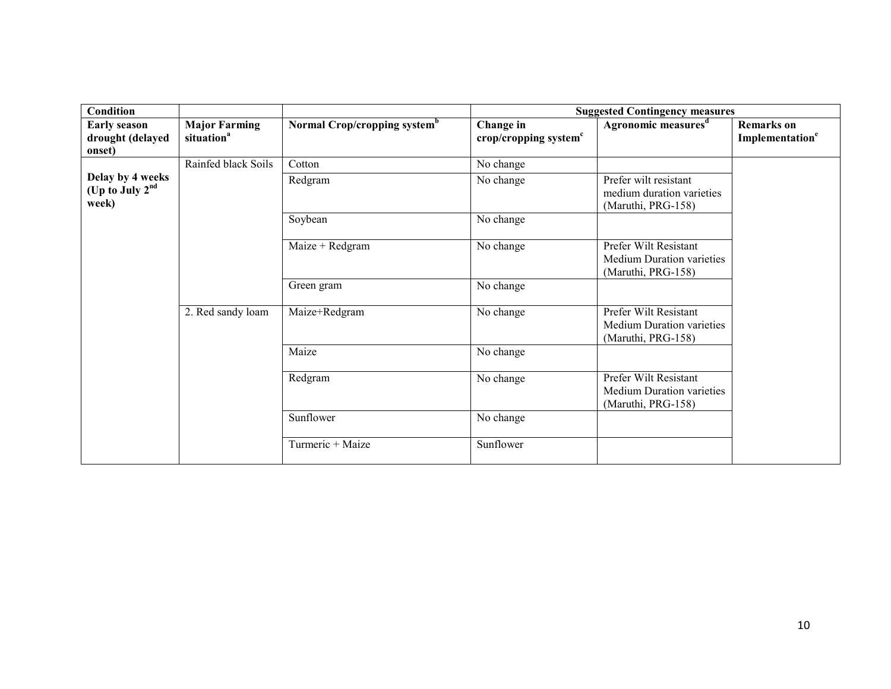| Condition                                                |                                                |                                          | <b>Suggested Contingency measures</b> |                                                                                 |                                                  |
|----------------------------------------------------------|------------------------------------------------|------------------------------------------|---------------------------------------|---------------------------------------------------------------------------------|--------------------------------------------------|
| <b>Early season</b><br>drought (delayed<br>onset)        | <b>Major Farming</b><br>situation <sup>a</sup> | Normal Crop/cropping system <sup>b</sup> | Change in<br>crop/cropping system $c$ | Agronomic measures <sup>d</sup>                                                 | <b>Remarks</b> on<br>Implementation <sup>e</sup> |
|                                                          | Rainfed black Soils                            | Cotton                                   | No change                             |                                                                                 |                                                  |
| Delay by 4 weeks<br>(Up to July 2 <sup>nd</sup><br>week) |                                                | Redgram                                  | No change                             | Prefer wilt resistant<br>medium duration varieties<br>(Maruthi, PRG-158)        |                                                  |
|                                                          |                                                | Soybean                                  | No change                             |                                                                                 |                                                  |
|                                                          |                                                | Maize + Redgram                          | No change                             | Prefer Wilt Resistant<br><b>Medium Duration varieties</b><br>(Maruthi, PRG-158) |                                                  |
|                                                          |                                                | Green gram                               | No change                             |                                                                                 |                                                  |
|                                                          | 2. Red sandy loam                              | Maize+Redgram                            | No change                             | Prefer Wilt Resistant<br><b>Medium Duration varieties</b><br>(Maruthi, PRG-158) |                                                  |
|                                                          |                                                | Maize                                    | No change                             |                                                                                 |                                                  |
|                                                          |                                                | Redgram                                  | No change                             | Prefer Wilt Resistant<br><b>Medium Duration varieties</b><br>(Maruthi, PRG-158) |                                                  |
|                                                          |                                                | Sunflower                                | No change                             |                                                                                 |                                                  |
|                                                          |                                                | Turmeric + Maize                         | Sunflower                             |                                                                                 |                                                  |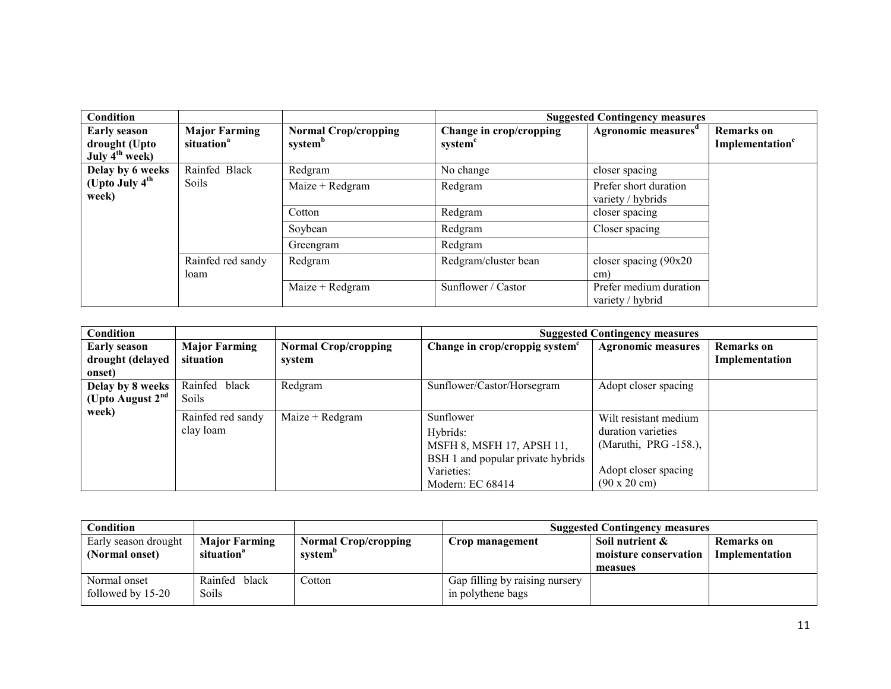| Condition                                                          |                                                |                                                    |                                                | <b>Suggested Contingency measures</b>      |                                                  |
|--------------------------------------------------------------------|------------------------------------------------|----------------------------------------------------|------------------------------------------------|--------------------------------------------|--------------------------------------------------|
| <b>Early season</b><br>drought (Upto<br>July $4^{\text{th}}$ week) | <b>Major Farming</b><br>situation <sup>a</sup> | <b>Normal Crop/cropping</b><br>system <sup>b</sup> | Change in crop/cropping<br>system <sup>c</sup> | Agronomic measures <sup>a</sup>            | <b>Remarks</b> on<br>Implementation <sup>e</sup> |
| Delay by 6 weeks                                                   | Rainfed Black                                  | Redgram                                            | No change                                      | closer spacing                             |                                                  |
| (Upto July 4 <sup>th</sup><br>week)                                | Soils                                          | $Maize + Redgram$                                  | Redgram                                        | Prefer short duration<br>variety / hybrids |                                                  |
|                                                                    |                                                | Cotton                                             | Redgram                                        | closer spacing                             |                                                  |
|                                                                    |                                                | Soybean                                            | Redgram                                        | Closer spacing                             |                                                  |
|                                                                    |                                                | Greengram                                          | Redgram                                        |                                            |                                                  |
|                                                                    | Rainfed red sandy<br>loam                      | Redgram                                            | Redgram/cluster bean                           | closer spacing (90x20<br>cm)               |                                                  |
|                                                                    |                                                | $Maize + Redgram$                                  | Sunflower / Castor                             | Prefer medium duration<br>variety / hybrid |                                                  |

| Condition                                         |                                   |                                       | <b>Suggested Contingency measures</b>                                                                                     |                                                                                                                             |                                     |
|---------------------------------------------------|-----------------------------------|---------------------------------------|---------------------------------------------------------------------------------------------------------------------------|-----------------------------------------------------------------------------------------------------------------------------|-------------------------------------|
| <b>Early season</b><br>drought (delayed<br>onset) | <b>Major Farming</b><br>situation | <b>Normal Crop/cropping</b><br>system | Change in crop/croppig system <sup>c</sup>                                                                                | <b>Agronomic measures</b>                                                                                                   | <b>Remarks</b> on<br>Implementation |
| Delay by 8 weeks<br>(Upto August $2nd$            | Rainfed<br>black<br><b>Soils</b>  | Redgram                               | Sunflower/Castor/Horsegram                                                                                                | Adopt closer spacing                                                                                                        |                                     |
| week)                                             | Rainfed red sandy<br>clay loam    | Maize + Redgram                       | Sunflower<br>Hybrids:<br>MSFH 8, MSFH 17, APSH 11,<br>BSH 1 and popular private hybrids<br>Varieties:<br>Modern: EC 68414 | Wilt resistant medium<br>duration varieties<br>(Maruthi, PRG -158.),<br>Adopt closer spacing<br>$(90 \times 20 \text{ cm})$ |                                     |

| Condition            |                        |                             | <b>Suggested Contingency measures</b> |                       |                   |
|----------------------|------------------------|-----------------------------|---------------------------------------|-----------------------|-------------------|
| Early season drought | <b>Major Farming</b>   | <b>Normal Crop/cropping</b> | Crop management                       | Soil nutrient $\&$    | <b>Remarks</b> on |
| (Normal onset)       | situation <sup>a</sup> | system"                     |                                       | moisture conservation | Implementation    |
|                      |                        |                             |                                       | measues               |                   |
| Normal onset         | black<br>Rainfed       | Cotton                      | Gap filling by raising nursery        |                       |                   |
| followed by 15-20    | Soils                  |                             | in polythene bags                     |                       |                   |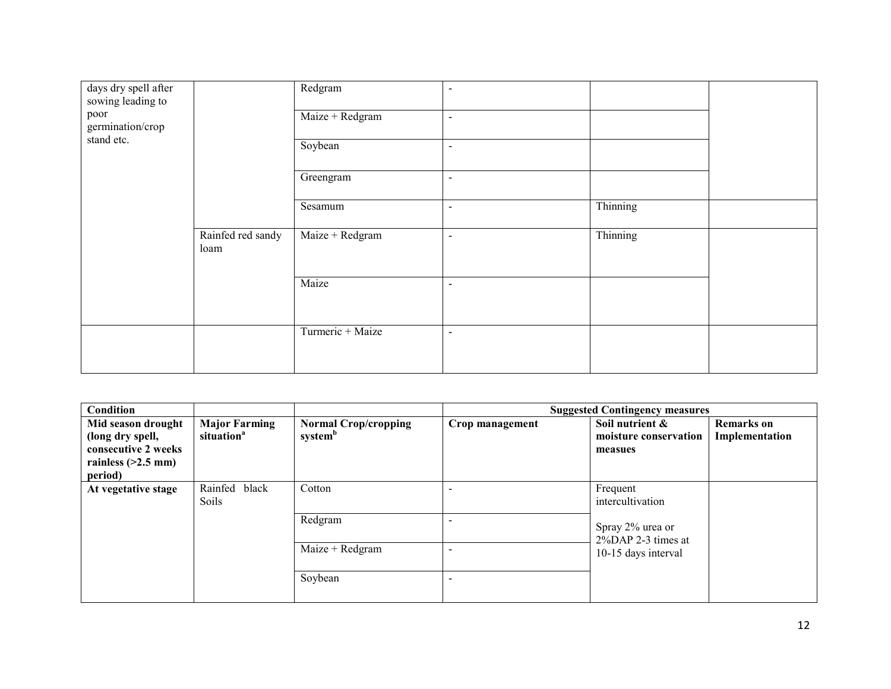| days dry spell after<br>sowing leading to<br>poor<br>germination/crop<br>stand etc. |                           | Redgram<br>Maize + Redgram<br>Soybean<br>Greengram<br>Sesamum | $\blacksquare$<br>$\blacksquare$<br>$\blacksquare$<br>$\blacksquare$<br>$\blacksquare$ | Thinning |  |
|-------------------------------------------------------------------------------------|---------------------------|---------------------------------------------------------------|----------------------------------------------------------------------------------------|----------|--|
|                                                                                     |                           |                                                               |                                                                                        |          |  |
|                                                                                     | Rainfed red sandy<br>loam | Maize + Redgram                                               | $\overline{\phantom{a}}$                                                               | Thinning |  |
|                                                                                     |                           | Maize                                                         | $\blacksquare$                                                                         |          |  |
|                                                                                     |                           | Turmeric + Maize                                              | $\blacksquare$                                                                         |          |  |

| Condition                                                                                        |                                                |                                                    |                 | <b>Suggested Contingency measures</b>                                                         |                                     |
|--------------------------------------------------------------------------------------------------|------------------------------------------------|----------------------------------------------------|-----------------|-----------------------------------------------------------------------------------------------|-------------------------------------|
| Mid season drought<br>(long dry spell,<br>consecutive 2 weeks<br>rainless $(>2.5$ mm)<br>period) | <b>Major Farming</b><br>situation <sup>a</sup> | <b>Normal Crop/cropping</b><br>system <sup>b</sup> | Crop management | Soil nutrient &<br>moisture conservation<br>measues                                           | <b>Remarks</b> on<br>Implementation |
| At vegetative stage                                                                              | Rainfed<br>black<br>Soils                      | Cotton                                             |                 | Frequent<br>intercultivation<br>Spray 2% urea or<br>2%DAP 2-3 times at<br>10-15 days interval |                                     |
|                                                                                                  |                                                | Redgram                                            | -               |                                                                                               |                                     |
|                                                                                                  |                                                | $Maize + Redgram$                                  |                 |                                                                                               |                                     |
|                                                                                                  |                                                | Soybean                                            |                 |                                                                                               |                                     |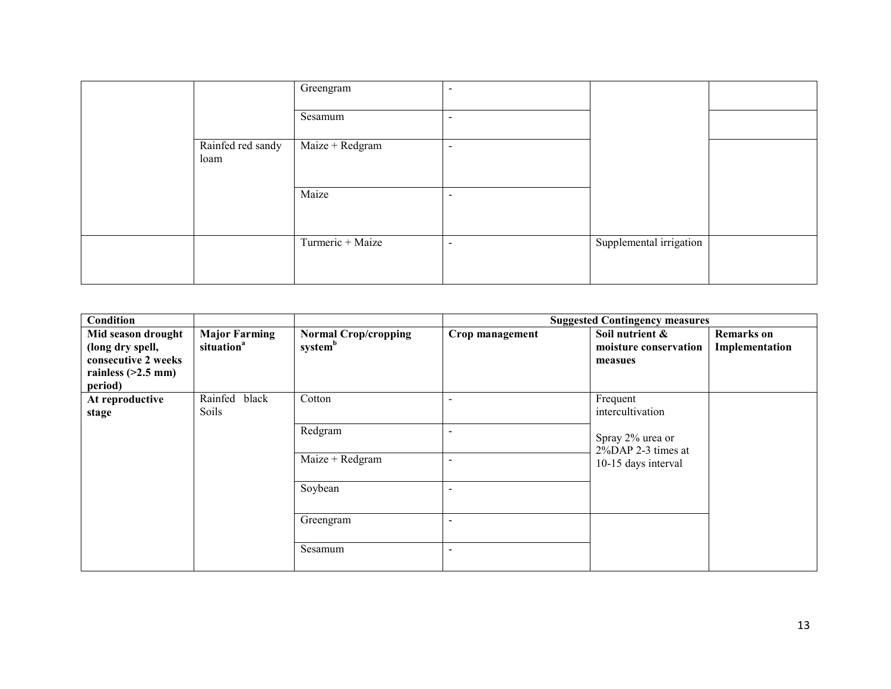|                           | Greengram        | $\,$                     |                         |  |
|---------------------------|------------------|--------------------------|-------------------------|--|
|                           | Sesamum          | $\overline{\phantom{a}}$ |                         |  |
| Rainfed red sandy<br>loam | Maize + Redgram  | $\overline{\phantom{a}}$ |                         |  |
|                           | Maize            | $\,$                     |                         |  |
|                           | Turmeric + Maize | $\overline{\phantom{a}}$ | Supplemental irrigation |  |

| Condition                                                                                        |                                                |                                                    |                 | <b>Suggested Contingency measures</b>                                                         |                                     |
|--------------------------------------------------------------------------------------------------|------------------------------------------------|----------------------------------------------------|-----------------|-----------------------------------------------------------------------------------------------|-------------------------------------|
| Mid season drought<br>(long dry spell,<br>consecutive 2 weeks<br>rainless $(>2.5$ mm)<br>period) | <b>Major Farming</b><br>situation <sup>a</sup> | <b>Normal Crop/cropping</b><br>system <sup>b</sup> | Crop management | Soil nutrient &<br>moisture conservation<br>measues                                           | <b>Remarks</b> on<br>Implementation |
| At reproductive<br>stage                                                                         | Rainfed<br>black<br>Soils                      | Cotton                                             |                 | Frequent<br>intercultivation<br>Spray 2% urea or<br>2%DAP 2-3 times at<br>10-15 days interval |                                     |
|                                                                                                  |                                                | Redgram                                            |                 |                                                                                               |                                     |
|                                                                                                  |                                                | $Maize + Redgram$                                  |                 |                                                                                               |                                     |
|                                                                                                  | Soybean                                        |                                                    |                 |                                                                                               |                                     |
|                                                                                                  |                                                | Greengram                                          |                 |                                                                                               |                                     |
|                                                                                                  |                                                | Sesamum                                            | ۰               |                                                                                               |                                     |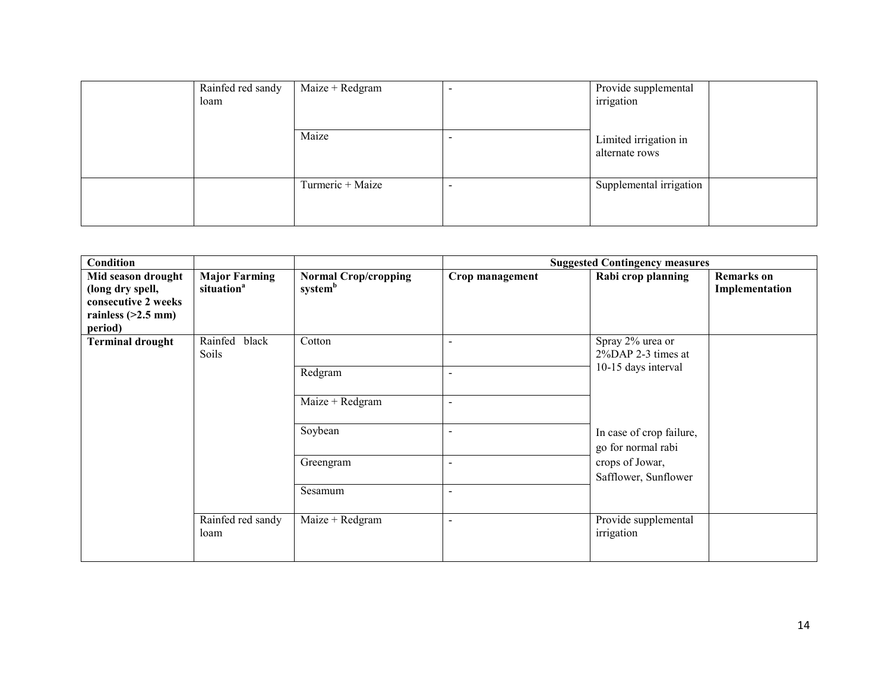| Rainfed red sandy<br>loam | $Maize + Redgram$ | $\,$                     | Provide supplemental<br>irrigation      |
|---------------------------|-------------------|--------------------------|-----------------------------------------|
|                           | Maize             | -                        | Limited irrigation in<br>alternate rows |
|                           | Turmeric + Maize  | $\overline{\phantom{0}}$ | Supplemental irrigation                 |

| Condition                                                                                        |                                                |                                                    |                          | <b>Suggested Contingency measures</b>                         |                                     |
|--------------------------------------------------------------------------------------------------|------------------------------------------------|----------------------------------------------------|--------------------------|---------------------------------------------------------------|-------------------------------------|
| Mid season drought<br>(long dry spell,<br>consecutive 2 weeks<br>rainless $(>2.5$ mm)<br>period) | <b>Major Farming</b><br>situation <sup>a</sup> | <b>Normal Crop/cropping</b><br>system <sup>b</sup> | Crop management          | Rabi crop planning                                            | <b>Remarks</b> on<br>Implementation |
| <b>Terminal drought</b>                                                                          | Rainfed<br>black<br>Soils                      | Cotton                                             | $\blacksquare$           | Spray 2% urea or<br>2%DAP 2-3 times at<br>10-15 days interval |                                     |
|                                                                                                  |                                                | Redgram                                            | $\blacksquare$           |                                                               |                                     |
|                                                                                                  |                                                | $Maize + Redgram$                                  | $\blacksquare$           |                                                               |                                     |
|                                                                                                  |                                                | Soybean                                            | $\overline{\phantom{a}}$ | In case of crop failure,<br>go for normal rabi                |                                     |
|                                                                                                  |                                                | Greengram                                          | $\overline{\phantom{a}}$ | crops of Jowar,<br>Safflower, Sunflower                       |                                     |
|                                                                                                  |                                                | Sesamum                                            | $\blacksquare$           |                                                               |                                     |
|                                                                                                  | Rainfed red sandy<br>loam                      | Maize + Redgram                                    | $\blacksquare$           | Provide supplemental<br>irrigation                            |                                     |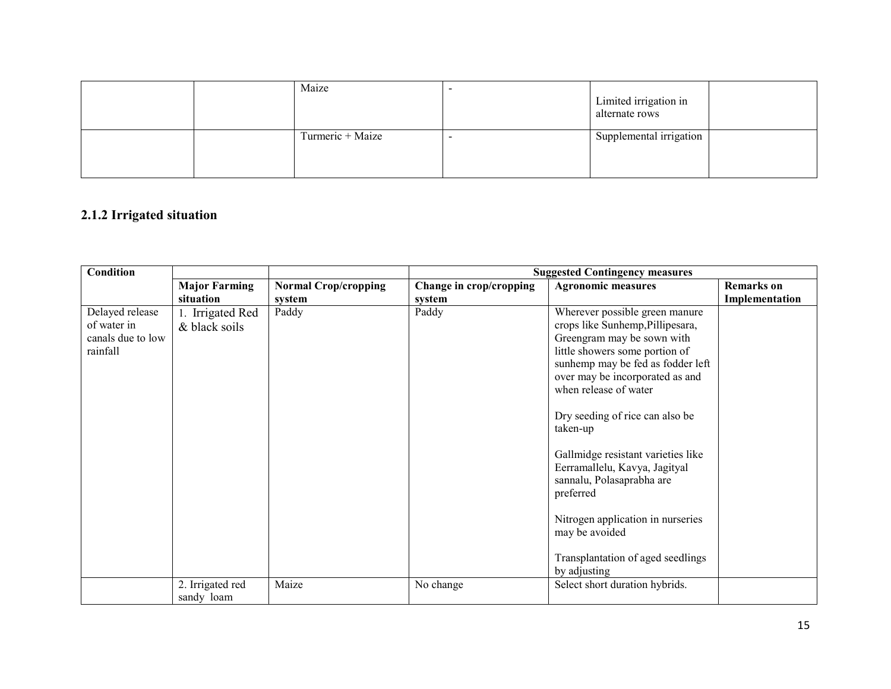|  | Maize            | Limited irrigation in<br>alternate rows |  |
|--|------------------|-----------------------------------------|--|
|  | Turmeric + Maize | Supplemental irrigation                 |  |

## 2.1.2 Irrigated situation

| Condition                                                       |                                   |                                       | <b>Suggested Contingency measures</b> |                                                                                                                                                                                                                                                                                                                                                                                                                                                                                                                 |                                     |
|-----------------------------------------------------------------|-----------------------------------|---------------------------------------|---------------------------------------|-----------------------------------------------------------------------------------------------------------------------------------------------------------------------------------------------------------------------------------------------------------------------------------------------------------------------------------------------------------------------------------------------------------------------------------------------------------------------------------------------------------------|-------------------------------------|
|                                                                 | <b>Major Farming</b><br>situation | <b>Normal Crop/cropping</b><br>system | Change in crop/cropping<br>system     | <b>Agronomic measures</b>                                                                                                                                                                                                                                                                                                                                                                                                                                                                                       | <b>Remarks</b> on<br>Implementation |
| Delayed release<br>of water in<br>canals due to low<br>rainfall | 1. Irrigated Red<br>& black soils | Paddy                                 | Paddy                                 | Wherever possible green manure<br>crops like Sunhemp, Pillipesara,<br>Greengram may be sown with<br>little showers some portion of<br>sunhemp may be fed as fodder left<br>over may be incorporated as and<br>when release of water<br>Dry seeding of rice can also be<br>taken-up<br>Gallmidge resistant varieties like<br>Eerramallelu, Kavya, Jagityal<br>sannalu, Polasaprabha are<br>preferred<br>Nitrogen application in nurseries<br>may be avoided<br>Transplantation of aged seedlings<br>by adjusting |                                     |
|                                                                 | 2. Irrigated red<br>sandy loam    | Maize                                 | No change                             | Select short duration hybrids.                                                                                                                                                                                                                                                                                                                                                                                                                                                                                  |                                     |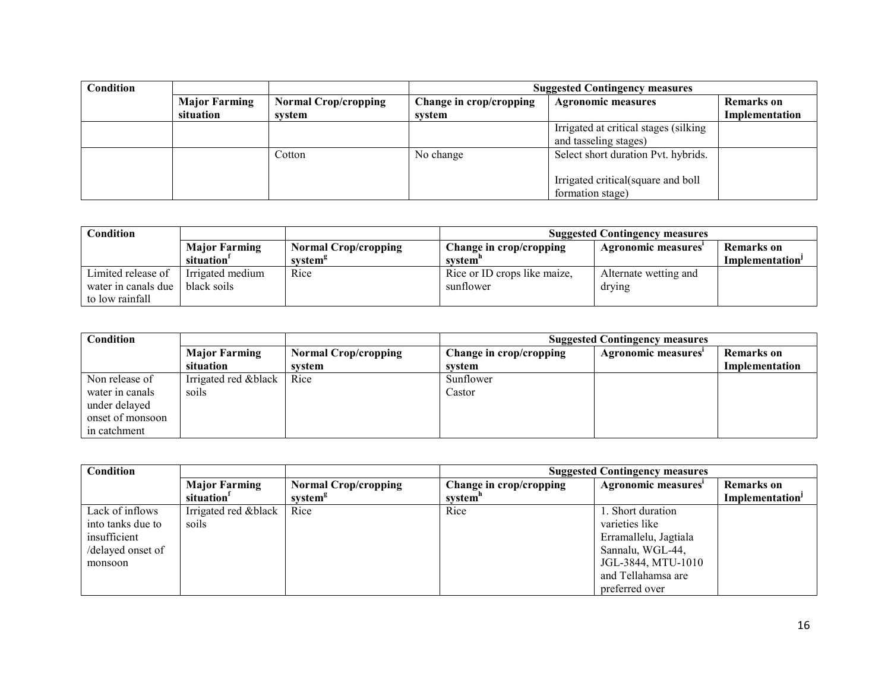| Condition |                      |                             | <b>Suggested Contingency measures</b> |                                        |                   |
|-----------|----------------------|-----------------------------|---------------------------------------|----------------------------------------|-------------------|
|           | <b>Major Farming</b> | <b>Normal Crop/cropping</b> | Change in crop/cropping               | <b>Agronomic measures</b>              | <b>Remarks</b> on |
|           | situation            | system                      | system                                |                                        | Implementation    |
|           |                      |                             |                                       | Irrigated at critical stages (silking) |                   |
|           |                      |                             |                                       | and tasseling stages)                  |                   |
|           |                      | Cotton                      | No change                             | Select short duration Pvt. hybrids.    |                   |
|           |                      |                             |                                       |                                        |                   |
|           |                      |                             |                                       | Irrigated critical (square and boll    |                   |
|           |                      |                             |                                       | formation stage)                       |                   |

| Condition           |                        |                             | <b>Suggested Contingency measures</b> |                       |                             |
|---------------------|------------------------|-----------------------------|---------------------------------------|-----------------------|-----------------------------|
|                     | <b>Major Farming</b>   | <b>Normal Crop/cropping</b> | Change in crop/cropping               | Agronomic measures    | Remarks on                  |
|                     | situation <sup>1</sup> | system <sup>g</sup>         | system"                               |                       | Implementation <sup>1</sup> |
| Limited release of  | Irrigated medium       | Rice                        | Rice or ID crops like maize,          | Alternate wetting and |                             |
| water in canals due | black soils            |                             | sunflower                             | drying                |                             |
| to low rainfall     |                        |                             |                                       |                       |                             |

| Condition        |                       |                             | <b>Suggested Contingency measures</b> |                     |                   |
|------------------|-----------------------|-----------------------------|---------------------------------------|---------------------|-------------------|
|                  | <b>Major Farming</b>  | <b>Normal Crop/cropping</b> | Change in crop/cropping               | Agronomic measures' | <b>Remarks</b> on |
|                  | situation             | system                      | system                                |                     | Implementation    |
| Non release of   | Irrigated red & black | Rice                        | Sunflower                             |                     |                   |
| water in canals  | soils                 |                             | Castor                                |                     |                   |
| under delayed    |                       |                             |                                       |                     |                   |
| onset of monsoon |                       |                             |                                       |                     |                   |
| in catchment     |                       |                             |                                       |                     |                   |

| Condition         |                        |                             | <b>Suggested Contingency measures</b> |                       |                             |
|-------------------|------------------------|-----------------------------|---------------------------------------|-----------------------|-----------------------------|
|                   | <b>Major Farming</b>   | <b>Normal Crop/cropping</b> | Change in crop/cropping               | Agronomic measures'   | <b>Remarks</b> on           |
|                   | situation <sup>1</sup> | system <sup>g</sup>         | system"                               |                       | Implementation <sup>J</sup> |
| Lack of inflows   | Irrigated red & black  | Rice                        | Rice                                  | 1. Short duration     |                             |
| into tanks due to | soils                  |                             |                                       | varieties like        |                             |
| insufficient      |                        |                             |                                       | Erramallelu, Jagtiala |                             |
| /delayed onset of |                        |                             |                                       | Sannalu, WGL-44,      |                             |
| monsoon           |                        |                             |                                       | JGL-3844, MTU-1010    |                             |
|                   |                        |                             |                                       | and Tellahamsa are    |                             |
|                   |                        |                             |                                       | preferred over        |                             |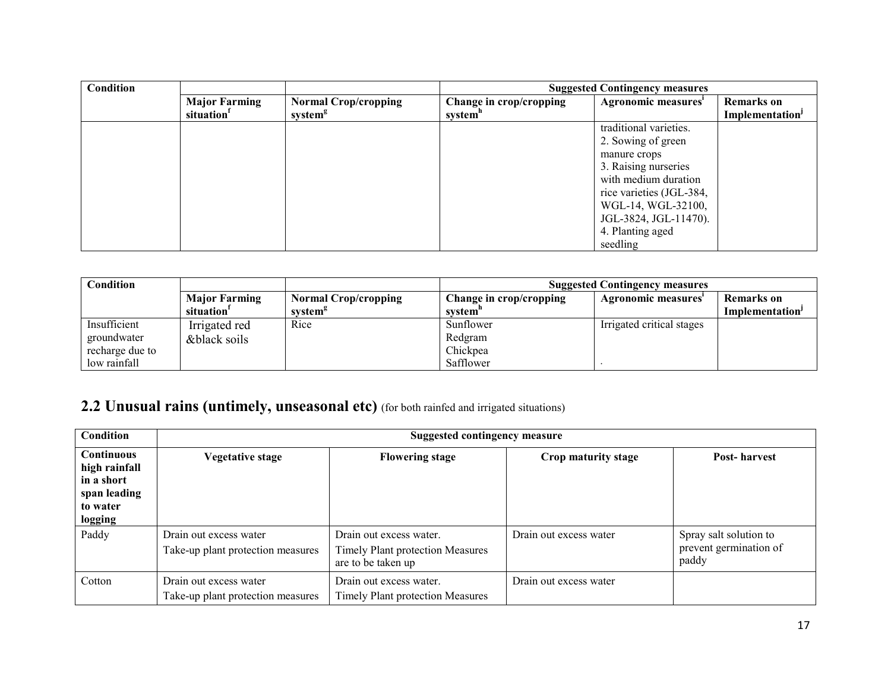| Condition |                        |                             | <b>Suggested Contingency measures</b> |                          |                             |
|-----------|------------------------|-----------------------------|---------------------------------------|--------------------------|-----------------------------|
|           | <b>Major Farming</b>   | <b>Normal Crop/cropping</b> | Change in crop/cropping               | Agronomic measures'      | <b>Remarks</b> on           |
|           | situation <sup>1</sup> | system <sup>g</sup>         | system <sup>n</sup>                   |                          | Implementation <sup>J</sup> |
|           |                        |                             |                                       | traditional varieties.   |                             |
|           |                        |                             |                                       | 2. Sowing of green       |                             |
|           |                        |                             |                                       | manure crops             |                             |
|           |                        |                             |                                       | 3. Raising nurseries     |                             |
|           |                        |                             |                                       | with medium duration     |                             |
|           |                        |                             |                                       | rice varieties (JGL-384, |                             |
|           |                        |                             |                                       | WGL-14, WGL-32100,       |                             |
|           |                        |                             |                                       | JGL-3824, JGL-11470).    |                             |
|           |                        |                             |                                       | 4. Planting aged         |                             |
|           |                        |                             |                                       | seedling                 |                             |

| Condition       |                      |                             | <b>Suggested Contingency measures</b> |                           |                 |
|-----------------|----------------------|-----------------------------|---------------------------------------|---------------------------|-----------------|
|                 | <b>Major Farming</b> | <b>Normal Crop/cropping</b> | Change in crop/cropping               | Agronomic measures        | Remarks on      |
|                 | situation            | system <sup>8</sup>         | system"                               |                           | Implementation' |
| Insufficient    | Irrigated red        | Rice                        | Sunflower                             | Irrigated critical stages |                 |
| groundwater     | &black soils         |                             | Redgram                               |                           |                 |
| recharge due to |                      |                             | Chickpea                              |                           |                 |
| low rainfall    |                      |                             | Safflower                             |                           |                 |

# 2.2 Unusual rains (untimely, unseasonal etc) (for both rainfed and irrigated situations)

| <b>Condition</b>                                                                        |                                                             | <b>Suggested contingency measure</b>                                              |                        |                                                           |  |  |  |
|-----------------------------------------------------------------------------------------|-------------------------------------------------------------|-----------------------------------------------------------------------------------|------------------------|-----------------------------------------------------------|--|--|--|
| <b>Continuous</b><br>high rainfall<br>in a short<br>span leading<br>to water<br>logging | <b>Vegetative stage</b>                                     | <b>Flowering stage</b>                                                            | Crop maturity stage    | Post-harvest                                              |  |  |  |
| Paddy                                                                                   | Drain out excess water<br>Take-up plant protection measures | Drain out excess water.<br>Timely Plant protection Measures<br>are to be taken up | Drain out excess water | Spray salt solution to<br>prevent germination of<br>paddy |  |  |  |
| Cotton                                                                                  | Drain out excess water<br>Take-up plant protection measures | Drain out excess water.<br><b>Timely Plant protection Measures</b>                | Drain out excess water |                                                           |  |  |  |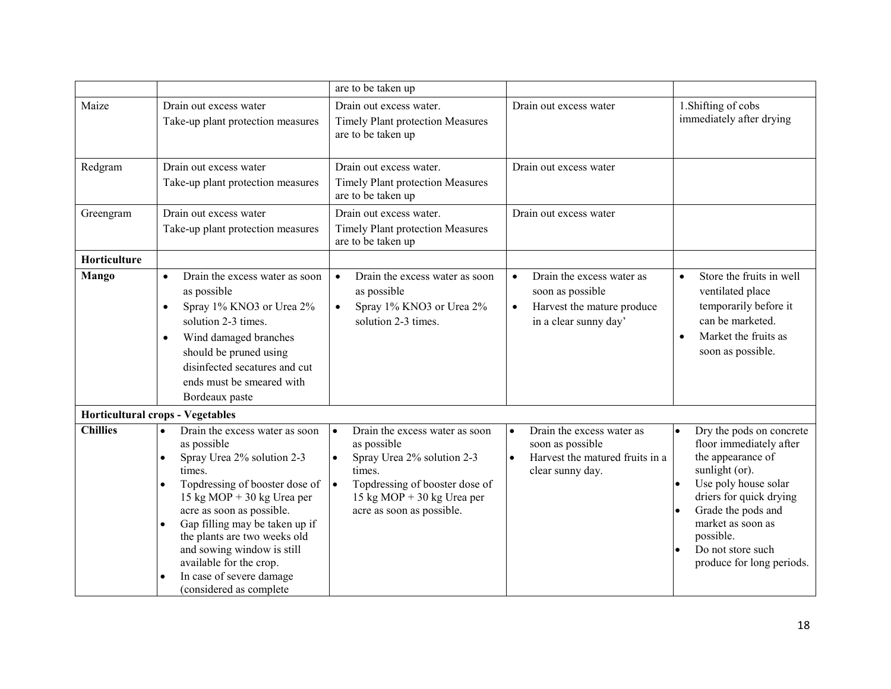|                 |                                                                                                                                                                                                                                                                                                                                                                                               | are to be taken up                                                                                                                                                                                                        |                                                                                                                                |                                                                                                                                                                                                                                                         |
|-----------------|-----------------------------------------------------------------------------------------------------------------------------------------------------------------------------------------------------------------------------------------------------------------------------------------------------------------------------------------------------------------------------------------------|---------------------------------------------------------------------------------------------------------------------------------------------------------------------------------------------------------------------------|--------------------------------------------------------------------------------------------------------------------------------|---------------------------------------------------------------------------------------------------------------------------------------------------------------------------------------------------------------------------------------------------------|
| Maize           | Drain out excess water<br>Take-up plant protection measures                                                                                                                                                                                                                                                                                                                                   | Drain out excess water.<br><b>Timely Plant protection Measures</b><br>are to be taken up                                                                                                                                  | Drain out excess water                                                                                                         | 1. Shifting of cobs<br>immediately after drying                                                                                                                                                                                                         |
| Redgram         | Drain out excess water<br>Take-up plant protection measures                                                                                                                                                                                                                                                                                                                                   | Drain out excess water.<br>Timely Plant protection Measures<br>are to be taken up                                                                                                                                         | Drain out excess water                                                                                                         |                                                                                                                                                                                                                                                         |
| Greengram       | Drain out excess water<br>Take-up plant protection measures                                                                                                                                                                                                                                                                                                                                   | Drain out excess water.<br><b>Timely Plant protection Measures</b><br>are to be taken up                                                                                                                                  | Drain out excess water                                                                                                         |                                                                                                                                                                                                                                                         |
| Horticulture    |                                                                                                                                                                                                                                                                                                                                                                                               |                                                                                                                                                                                                                           |                                                                                                                                |                                                                                                                                                                                                                                                         |
| <b>Mango</b>    | Drain the excess water as soon<br>$\bullet$<br>as possible<br>Spray 1% KNO3 or Urea 2%<br>$\bullet$<br>solution 2-3 times.<br>Wind damaged branches<br>$\bullet$<br>should be pruned using<br>disinfected secatures and cut<br>ends must be smeared with<br>Bordeaux paste                                                                                                                    | Drain the excess water as soon<br>$\bullet$<br>as possible<br>Spray 1% KNO3 or Urea 2%<br>$\bullet$<br>solution 2-3 times.                                                                                                | Drain the excess water as<br>$\bullet$<br>soon as possible<br>Harvest the mature produce<br>$\bullet$<br>in a clear sunny day' | Store the fruits in well<br>$\bullet$<br>ventilated place<br>temporarily before it<br>can be marketed.<br>Market the fruits as<br>$\bullet$<br>soon as possible.                                                                                        |
|                 | <b>Horticultural crops - Vegetables</b>                                                                                                                                                                                                                                                                                                                                                       |                                                                                                                                                                                                                           |                                                                                                                                |                                                                                                                                                                                                                                                         |
| <b>Chillies</b> | Drain the excess water as soon<br>$\bullet$<br>as possible<br>Spray Urea 2% solution 2-3<br>$\bullet$<br>times.<br>Topdressing of booster dose of<br>$\bullet$<br>15 kg MOP + 30 kg Urea per<br>acre as soon as possible.<br>Gap filling may be taken up if<br>$\bullet$<br>the plants are two weeks old<br>and sowing window is still<br>available for the crop.<br>In case of severe damage | Drain the excess water as soon<br>$\bullet$<br>as possible<br>Spray Urea 2% solution 2-3<br>$\bullet$<br>times.<br>Topdressing of booster dose of<br>$\bullet$<br>15 kg MOP + 30 kg Urea per<br>acre as soon as possible. | Drain the excess water as<br>$\bullet$<br>soon as possible<br>Harvest the matured fruits in a<br>$\bullet$<br>clear sunny day. | Dry the pods on concrete<br>floor immediately after<br>the appearance of<br>sunlight (or).<br>Use poly house solar<br>driers for quick drying<br>Grade the pods and<br>market as soon as<br>possible.<br>Do not store such<br>produce for long periods. |
|                 | (considered as complete                                                                                                                                                                                                                                                                                                                                                                       |                                                                                                                                                                                                                           |                                                                                                                                |                                                                                                                                                                                                                                                         |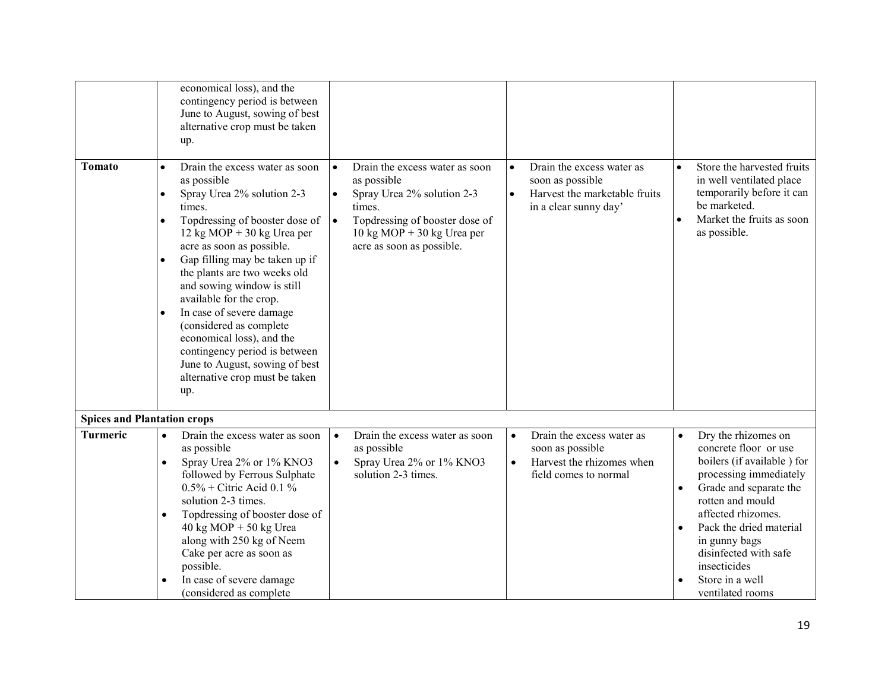|                                    | economical loss), and the<br>contingency period is between<br>June to August, sowing of best<br>alternative crop must be taken<br>up.                                                                                                                                                                                                                                                                                                                                                                                                                             |                                                                                                                                                                                                                                             |                                                                                                                                   |                                                                                                                                                                                                                                                                                                                                |
|------------------------------------|-------------------------------------------------------------------------------------------------------------------------------------------------------------------------------------------------------------------------------------------------------------------------------------------------------------------------------------------------------------------------------------------------------------------------------------------------------------------------------------------------------------------------------------------------------------------|---------------------------------------------------------------------------------------------------------------------------------------------------------------------------------------------------------------------------------------------|-----------------------------------------------------------------------------------------------------------------------------------|--------------------------------------------------------------------------------------------------------------------------------------------------------------------------------------------------------------------------------------------------------------------------------------------------------------------------------|
| Tomato                             | Drain the excess water as soon<br>$\bullet$<br>as possible<br>Spray Urea 2% solution 2-3<br>$\bullet$<br>times.<br>Topdressing of booster dose of<br>$\bullet$<br>12 kg MOP + 30 kg Urea per<br>acre as soon as possible.<br>Gap filling may be taken up if<br>the plants are two weeks old<br>and sowing window is still<br>available for the crop.<br>In case of severe damage<br>$\bullet$<br>(considered as complete<br>economical loss), and the<br>contingency period is between<br>June to August, sowing of best<br>alternative crop must be taken<br>up. | Drain the excess water as soon<br>$\bullet$<br>as possible<br>Spray Urea 2% solution 2-3<br>$\bullet$<br>times.<br>Topdressing of booster dose of<br>$\bullet$<br>$10 \text{ kg MOP} + 30 \text{ kg Urea per}$<br>acre as soon as possible. | Drain the excess water as<br>$\bullet$<br>soon as possible<br>Harvest the marketable fruits<br>$\bullet$<br>in a clear sunny day' | Store the harvested fruits<br>$\bullet$<br>in well ventilated place<br>temporarily before it can<br>be marketed.<br>Market the fruits as soon<br>as possible.                                                                                                                                                                  |
| <b>Spices and Plantation crops</b> |                                                                                                                                                                                                                                                                                                                                                                                                                                                                                                                                                                   |                                                                                                                                                                                                                                             |                                                                                                                                   |                                                                                                                                                                                                                                                                                                                                |
| Turmeric                           | Drain the excess water as soon<br>$\bullet$<br>as possible<br>Spray Urea 2% or 1% KNO3<br>$\bullet$<br>followed by Ferrous Sulphate<br>$0.5\%$ + Citric Acid 0.1 %<br>solution 2-3 times.<br>Topdressing of booster dose of<br>$\bullet$<br>$40 \text{ kg} \text{ MOP} + 50 \text{ kg} \text{ Urea}$<br>along with 250 kg of Neem<br>Cake per acre as soon as<br>possible.<br>In case of severe damage<br>(considered as complete                                                                                                                                 | Drain the excess water as soon<br>$\bullet$<br>as possible<br>Spray Urea 2% or 1% KNO3<br>$\bullet$<br>solution 2-3 times.                                                                                                                  | Drain the excess water as<br>$\bullet$<br>soon as possible<br>Harvest the rhizomes when<br>$\bullet$<br>field comes to normal     | Dry the rhizomes on<br>concrete floor or use<br>boilers (if available) for<br>processing immediately<br>Grade and separate the<br>$\bullet$<br>rotten and mould<br>affected rhizomes.<br>Pack the dried material<br>$\bullet$<br>in gunny bags<br>disinfected with safe<br>insecticides<br>Store in a well<br>ventilated rooms |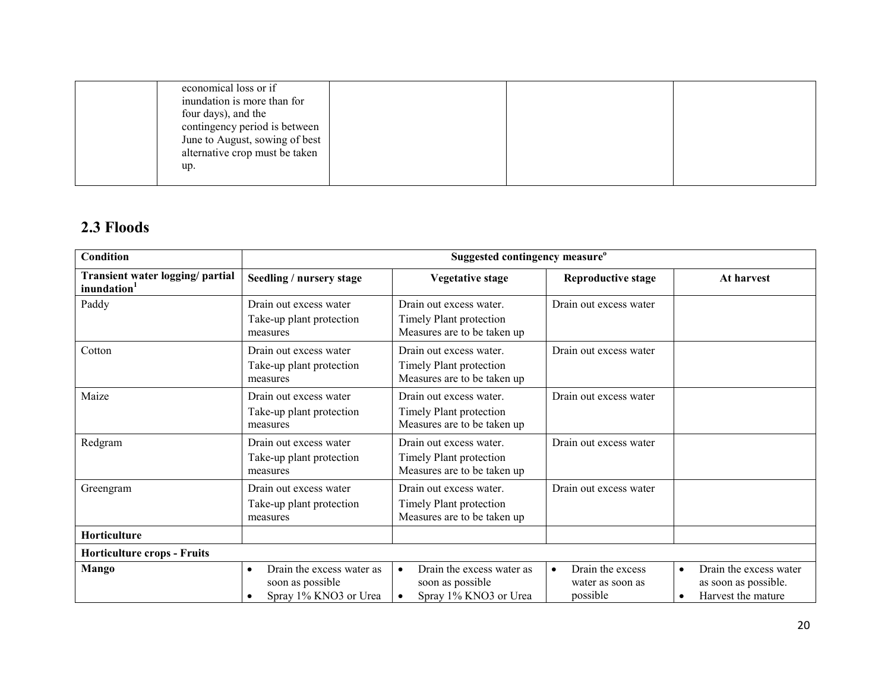| economical loss or if<br>inundation is more than for<br>four days), and the<br>contingency period is between<br>June to August, sowing of best<br>alternative crop must be taken |  |  |
|----------------------------------------------------------------------------------------------------------------------------------------------------------------------------------|--|--|
| up.                                                                                                                                                                              |  |  |

# 2.3 Floods

| Condition                                                   |                                                                                     | Suggested contingency measure <sup>o</sup>                                          |                                                               |                                                                                                |
|-------------------------------------------------------------|-------------------------------------------------------------------------------------|-------------------------------------------------------------------------------------|---------------------------------------------------------------|------------------------------------------------------------------------------------------------|
| Transient water logging/ partial<br>inundation <sup>1</sup> | Seedling / nursery stage                                                            | <b>Vegetative stage</b>                                                             | <b>Reproductive stage</b>                                     | At harvest                                                                                     |
| Paddy                                                       | Drain out excess water<br>Take-up plant protection<br>measures                      | Drain out excess water.<br>Timely Plant protection<br>Measures are to be taken up   | Drain out excess water                                        |                                                                                                |
| Cotton                                                      | Drain out excess water<br>Take-up plant protection<br>measures                      | Drain out excess water.<br>Timely Plant protection<br>Measures are to be taken up   | Drain out excess water                                        |                                                                                                |
| Maize                                                       | Drain out excess water<br>Take-up plant protection<br>measures                      | Drain out excess water.<br>Timely Plant protection<br>Measures are to be taken up   | Drain out excess water                                        |                                                                                                |
| Redgram                                                     | Drain out excess water<br>Take-up plant protection<br>measures                      | Drain out excess water.<br>Timely Plant protection<br>Measures are to be taken up   | Drain out excess water                                        |                                                                                                |
| Greengram                                                   | Drain out excess water<br>Take-up plant protection<br>measures                      | Drain out excess water.<br>Timely Plant protection<br>Measures are to be taken up   | Drain out excess water                                        |                                                                                                |
| Horticulture                                                |                                                                                     |                                                                                     |                                                               |                                                                                                |
| <b>Horticulture crops - Fruits</b>                          |                                                                                     |                                                                                     |                                                               |                                                                                                |
| Mango                                                       | Drain the excess water as<br>$\bullet$<br>soon as possible<br>Spray 1% KNO3 or Urea | Drain the excess water as<br>$\bullet$<br>soon as possible<br>Spray 1% KNO3 or Urea | Drain the excess<br>$\bullet$<br>water as soon as<br>possible | Drain the excess water<br>$\bullet$<br>as soon as possible.<br>Harvest the mature<br>$\bullet$ |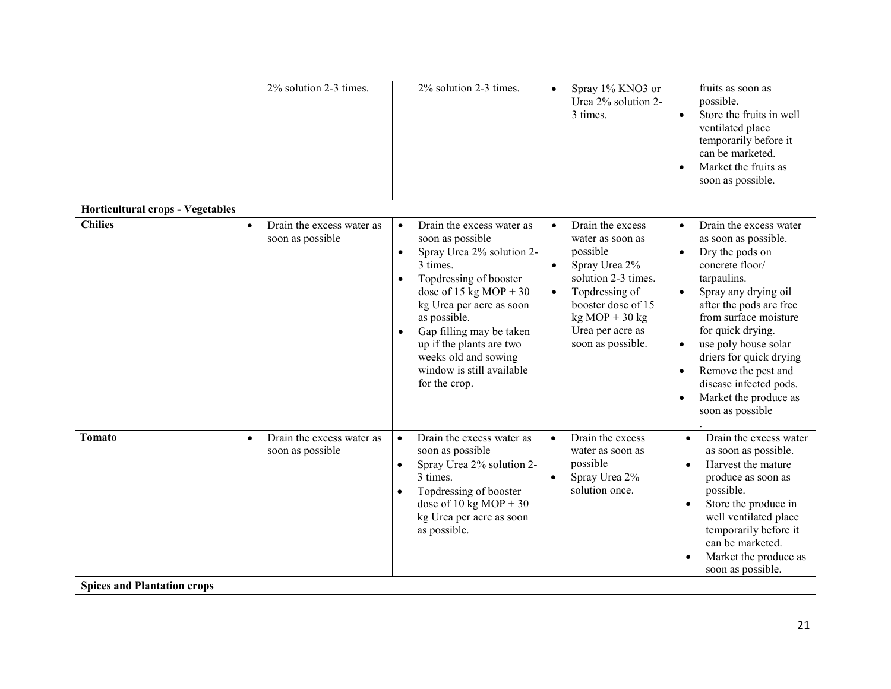|                                                     | 2% solution 2-3 times.                                     | 2% solution 2-3 times.                                                                                                                                                                                                                                                                                                                                      | Spray 1% KNO3 or<br>$\bullet$<br>Urea 2% solution 2-<br>3 times.                                                                                                                                                                     | fruits as soon as<br>possible.<br>Store the fruits in well<br>$\bullet$<br>ventilated place<br>temporarily before it<br>can be marketed.<br>Market the fruits as<br>$\bullet$<br>soon as possible.                                                                                                                                                                                                                     |
|-----------------------------------------------------|------------------------------------------------------------|-------------------------------------------------------------------------------------------------------------------------------------------------------------------------------------------------------------------------------------------------------------------------------------------------------------------------------------------------------------|--------------------------------------------------------------------------------------------------------------------------------------------------------------------------------------------------------------------------------------|------------------------------------------------------------------------------------------------------------------------------------------------------------------------------------------------------------------------------------------------------------------------------------------------------------------------------------------------------------------------------------------------------------------------|
| <b>Horticultural crops - Vegetables</b>             |                                                            |                                                                                                                                                                                                                                                                                                                                                             |                                                                                                                                                                                                                                      |                                                                                                                                                                                                                                                                                                                                                                                                                        |
| <b>Chilies</b>                                      | Drain the excess water as<br>$\bullet$<br>soon as possible | Drain the excess water as<br>$\bullet$<br>soon as possible<br>Spray Urea 2% solution 2-<br>$\bullet$<br>3 times.<br>Topdressing of booster<br>$\bullet$<br>dose of 15 kg MOP + 30<br>kg Urea per acre as soon<br>as possible.<br>Gap filling may be taken<br>up if the plants are two<br>weeks old and sowing<br>window is still available<br>for the crop. | Drain the excess<br>$\bullet$<br>water as soon as<br>possible<br>Spray Urea 2%<br>$\bullet$<br>solution 2-3 times.<br>Topdressing of<br>$\bullet$<br>booster dose of 15<br>$kg MOP + 30 kg$<br>Urea per acre as<br>soon as possible. | Drain the excess water<br>$\bullet$<br>as soon as possible.<br>Dry the pods on<br>$\bullet$<br>concrete floor/<br>tarpaulins.<br>Spray any drying oil<br>after the pods are free<br>from surface moisture<br>for quick drying.<br>use poly house solar<br>$\bullet$<br>driers for quick drying<br>Remove the pest and<br>$\bullet$<br>disease infected pods.<br>Market the produce as<br>$\bullet$<br>soon as possible |
| <b>Tomato</b><br><b>Spices and Plantation crops</b> | Drain the excess water as<br>$\bullet$<br>soon as possible | Drain the excess water as<br>$\bullet$<br>soon as possible<br>Spray Urea 2% solution 2-<br>$\bullet$<br>3 times.<br>Topdressing of booster<br>$\bullet$<br>dose of 10 kg MOP + 30<br>kg Urea per acre as soon<br>as possible.                                                                                                                               | Drain the excess<br>$\bullet$<br>water as soon as<br>possible<br>Spray Urea 2%<br>$\bullet$<br>solution once.                                                                                                                        | Drain the excess water<br>$\bullet$<br>as soon as possible.<br>Harvest the mature<br>$\bullet$<br>produce as soon as<br>possible.<br>Store the produce in<br>well ventilated place<br>temporarily before it<br>can be marketed.<br>Market the produce as<br>soon as possible.                                                                                                                                          |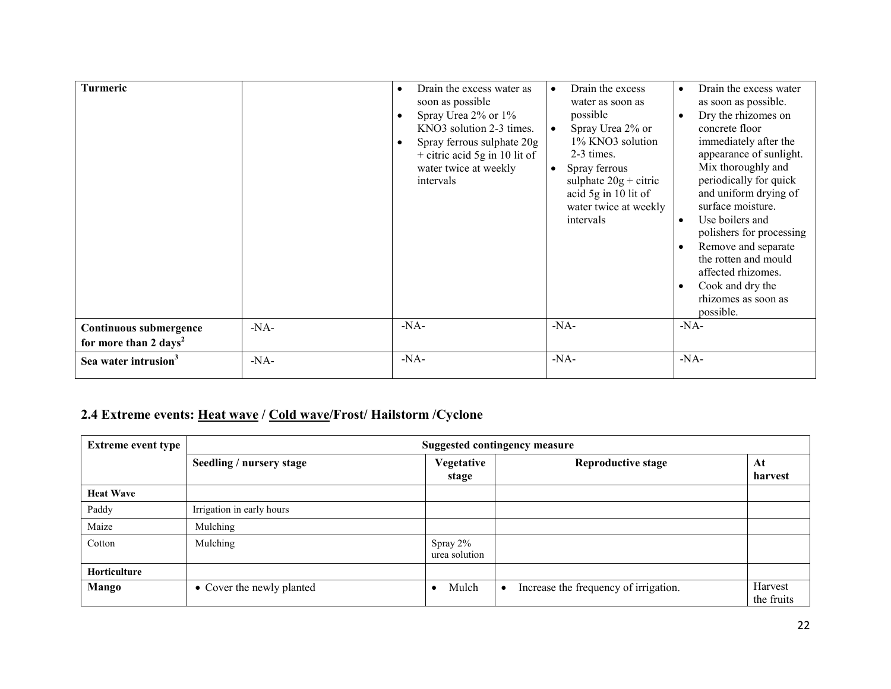| Turmeric                                                    |        | Drain the excess water as<br>$\bullet$<br>soon as possible<br>Spray Urea 2% or 1%<br>KNO3 solution 2-3 times.<br>Spray ferrous sulphate 20g<br>$+$ citric acid 5g in 10 lit of<br>water twice at weekly<br>intervals | Drain the excess<br>$\bullet$<br>water as soon as<br>possible<br>Spray Urea 2% or<br>$\bullet$<br>1% KNO3 solution<br>2-3 times.<br>Spray ferrous<br>$\bullet$<br>sulphate $20g +$ citric<br>acid 5g in 10 lit of<br>water twice at weekly<br>intervals | Drain the excess water<br>as soon as possible.<br>Dry the rhizomes on<br>concrete floor<br>immediately after the<br>appearance of sunlight.<br>Mix thoroughly and<br>periodically for quick<br>and uniform drying of<br>surface moisture.<br>Use boilers and<br>polishers for processing<br>Remove and separate<br>the rotten and mould<br>affected rhizomes.<br>Cook and dry the<br>rhizomes as soon as<br>possible. |
|-------------------------------------------------------------|--------|----------------------------------------------------------------------------------------------------------------------------------------------------------------------------------------------------------------------|---------------------------------------------------------------------------------------------------------------------------------------------------------------------------------------------------------------------------------------------------------|-----------------------------------------------------------------------------------------------------------------------------------------------------------------------------------------------------------------------------------------------------------------------------------------------------------------------------------------------------------------------------------------------------------------------|
| Continuous submergence<br>for more than 2 days <sup>2</sup> | $-NA$  | $-NA-$                                                                                                                                                                                                               | $-NA-$                                                                                                                                                                                                                                                  | $-NA-$                                                                                                                                                                                                                                                                                                                                                                                                                |
| Sea water intrusion <sup>3</sup>                            | $-NA-$ | $-NA-$                                                                                                                                                                                                               | $-NA-$                                                                                                                                                                                                                                                  | $-NA-$                                                                                                                                                                                                                                                                                                                                                                                                                |

#### 2.4 Extreme events: <u>Heat wave</u> / <u>Cold wave</u>/Frost/ Hailstorm /Cyclone

| <b>Extreme event type</b> | <b>Suggested contingency measure</b> |                           |                                                    |                       |
|---------------------------|--------------------------------------|---------------------------|----------------------------------------------------|-----------------------|
|                           | Seedling / nursery stage             | Vegetative<br>stage       | <b>Reproductive stage</b>                          | At<br>harvest         |
| <b>Heat Wave</b>          |                                      |                           |                                                    |                       |
| Paddy                     | Irrigation in early hours            |                           |                                                    |                       |
| Maize                     | Mulching                             |                           |                                                    |                       |
| Cotton                    | Mulching                             | Spray 2%<br>urea solution |                                                    |                       |
| Horticulture              |                                      |                           |                                                    |                       |
| Mango                     | • Cover the newly planted            | Mulch<br>$\bullet$        | Increase the frequency of irrigation.<br>$\bullet$ | Harvest<br>the fruits |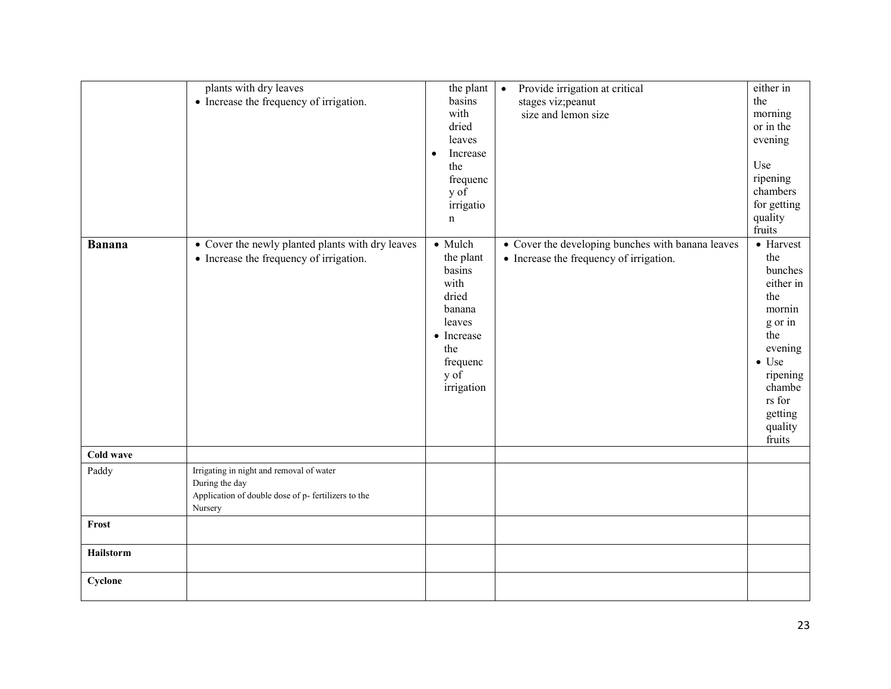| <b>Banana</b> | plants with dry leaves<br>• Increase the frequency of irrigation.<br>• Cover the newly planted plants with dry leaves<br>• Increase the frequency of irrigation. | the plant<br>basins<br>with<br>dried<br>leaves<br>Increase<br>$\bullet$<br>the<br>frequenc<br>y of<br>irrigatio<br>n<br>• Mulch<br>the plant<br>basins | Provide irrigation at critical<br>$\bullet$<br>stages viz; peanut<br>size and lemon size<br>• Cover the developing bunches with banana leaves<br>• Increase the frequency of irrigation. | either in<br>the<br>morning<br>or in the<br>evening<br>Use<br>ripening<br>chambers<br>for getting<br>quality<br>fruits<br>• Harvest<br>the<br>bunches |
|---------------|------------------------------------------------------------------------------------------------------------------------------------------------------------------|--------------------------------------------------------------------------------------------------------------------------------------------------------|------------------------------------------------------------------------------------------------------------------------------------------------------------------------------------------|-------------------------------------------------------------------------------------------------------------------------------------------------------|
|               |                                                                                                                                                                  | with<br>dried<br>banana<br>leaves<br>• Increase<br>the<br>frequenc<br>$y \circ f$<br>irrigation                                                        |                                                                                                                                                                                          | either in<br>the<br>mornin<br>g or in<br>the<br>evening<br>$\bullet$ Use<br>ripening<br>chambe<br>rs for<br>getting<br>quality<br>fruits              |
| Cold wave     |                                                                                                                                                                  |                                                                                                                                                        |                                                                                                                                                                                          |                                                                                                                                                       |
| Paddy         | Irrigating in night and removal of water<br>During the day<br>Application of double dose of p- fertilizers to the<br>Nursery                                     |                                                                                                                                                        |                                                                                                                                                                                          |                                                                                                                                                       |
| Frost         |                                                                                                                                                                  |                                                                                                                                                        |                                                                                                                                                                                          |                                                                                                                                                       |
| Hailstorm     |                                                                                                                                                                  |                                                                                                                                                        |                                                                                                                                                                                          |                                                                                                                                                       |
| Cyclone       |                                                                                                                                                                  |                                                                                                                                                        |                                                                                                                                                                                          |                                                                                                                                                       |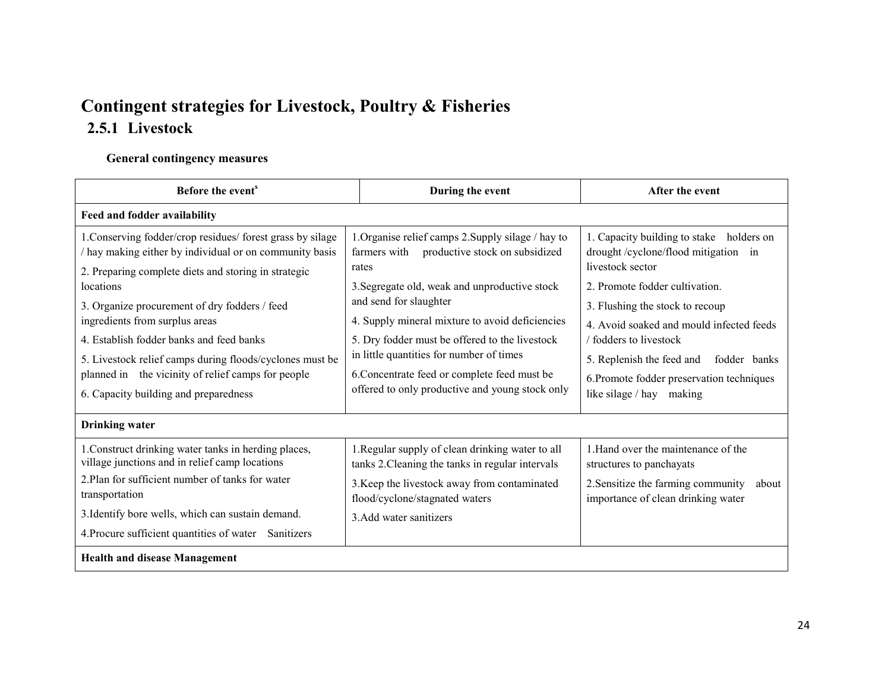# Contingent strategies for Livestock, Poultry & Fisheries 2.5.1 Livestock

#### General contingency measures

| Before the event <sup>s</sup>                                                                                                                                                                                                                                                                                                                                                                                                                                                      | During the event                                                                                                                                                                                                                                                                                                                                                                                                                             | After the event                                                                                                                                                                                                                                                                                                                                                      |
|------------------------------------------------------------------------------------------------------------------------------------------------------------------------------------------------------------------------------------------------------------------------------------------------------------------------------------------------------------------------------------------------------------------------------------------------------------------------------------|----------------------------------------------------------------------------------------------------------------------------------------------------------------------------------------------------------------------------------------------------------------------------------------------------------------------------------------------------------------------------------------------------------------------------------------------|----------------------------------------------------------------------------------------------------------------------------------------------------------------------------------------------------------------------------------------------------------------------------------------------------------------------------------------------------------------------|
| Feed and fodder availability                                                                                                                                                                                                                                                                                                                                                                                                                                                       |                                                                                                                                                                                                                                                                                                                                                                                                                                              |                                                                                                                                                                                                                                                                                                                                                                      |
| 1. Conserving fodder/crop residues/ forest grass by silage<br>hay making either by individual or on community basis<br>2. Preparing complete diets and storing in strategic<br>locations<br>3. Organize procurement of dry fodders / feed<br>ingredients from surplus areas<br>4. Establish fodder banks and feed banks<br>5. Livestock relief camps during floods/cyclones must be<br>planned in the vicinity of relief camps for people<br>6. Capacity building and preparedness | 1. Organise relief camps 2. Supply silage / hay to<br>productive stock on subsidized<br>farmers with<br>rates<br>3. Segregate old, weak and unproductive stock<br>and send for slaughter<br>4. Supply mineral mixture to avoid deficiencies<br>5. Dry fodder must be offered to the livestock<br>in little quantities for number of times<br>6. Concentrate feed or complete feed must be<br>offered to only productive and young stock only | 1. Capacity building to stake holders on<br>drought/cyclone/flood mitigation in<br>livestock sector<br>2. Promote fodder cultivation.<br>3. Flushing the stock to recoup<br>4. Avoid soaked and mould infected feeds<br>/ fodders to livestock<br>5. Replenish the feed and<br>fodder banks<br>6. Promote fodder preservation techniques<br>like silage / hay making |
| <b>Drinking water</b>                                                                                                                                                                                                                                                                                                                                                                                                                                                              |                                                                                                                                                                                                                                                                                                                                                                                                                                              |                                                                                                                                                                                                                                                                                                                                                                      |
| 1. Construct drinking water tanks in herding places,<br>village junctions and in relief camp locations<br>2. Plan for sufficient number of tanks for water<br>transportation<br>3. Identify bore wells, which can sustain demand.<br>4. Procure sufficient quantities of water Sanitizers                                                                                                                                                                                          | 1. Regular supply of clean drinking water to all<br>tanks 2. Cleaning the tanks in regular intervals<br>3. Keep the livestock away from contaminated<br>flood/cyclone/stagnated waters<br>3. Add water sanitizers                                                                                                                                                                                                                            | 1. Hand over the maintenance of the<br>structures to panchayats<br>2. Sensitize the farming community<br>about<br>importance of clean drinking water                                                                                                                                                                                                                 |
| <b>Health and disease Management</b>                                                                                                                                                                                                                                                                                                                                                                                                                                               |                                                                                                                                                                                                                                                                                                                                                                                                                                              |                                                                                                                                                                                                                                                                                                                                                                      |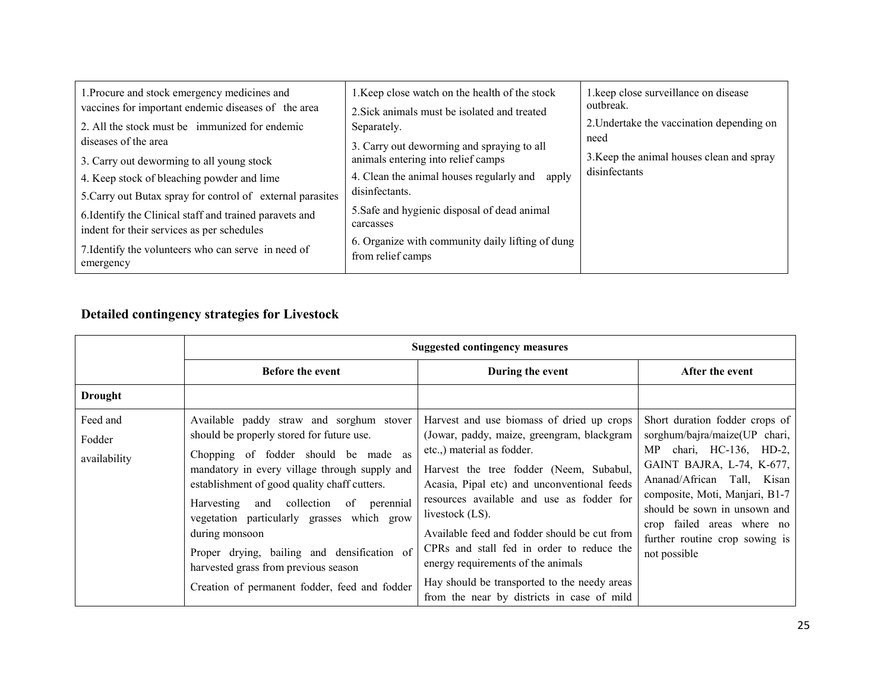| 1. Procure and stock emergency medicines and                     | 1. Keep close watch on the health of the stock            | 1. keep close surveillance on disease     |
|------------------------------------------------------------------|-----------------------------------------------------------|-------------------------------------------|
| vaccines for important endemic diseases of the area              | 2. Sick animals must be isolated and treated              | outbreak.                                 |
| 2. All the stock must be immunized for endemic                   | Separately.                                               | 2. Undertake the vaccination depending on |
| diseases of the area                                             | 3. Carry out deworming and spraying to all                | need                                      |
| 3. Carry out deworming to all young stock                        | animals entering into relief camps                        | 3. Keep the animal houses clean and spray |
| 4. Keep stock of bleaching powder and lime                       | 4. Clean the animal houses regularly and apply            | disinfectants                             |
| 5. Carry out Butax spray for control of external parasites       | disinfectants.                                            |                                           |
| 6. Identify the Clinical staff and trained paravets and          | 5. Safe and hygienic disposal of dead animal<br>carcasses |                                           |
| indent for their services as per schedules                       | 6. Organize with community daily lifting of dung          |                                           |
| 7. Identify the volunteers who can serve in need of<br>emergency | from relief camps                                         |                                           |

#### Detailed contingency strategies for Livestock

|                                    | <b>Suggested contingency measures</b>                                                                                                                                                                                                                                                                                                                                                                                                                                               |                                                                                                                                                                                                                                                                                                                                                                                                                                                                                                                  |                                                                                                                                                                                                                                                                                                         |
|------------------------------------|-------------------------------------------------------------------------------------------------------------------------------------------------------------------------------------------------------------------------------------------------------------------------------------------------------------------------------------------------------------------------------------------------------------------------------------------------------------------------------------|------------------------------------------------------------------------------------------------------------------------------------------------------------------------------------------------------------------------------------------------------------------------------------------------------------------------------------------------------------------------------------------------------------------------------------------------------------------------------------------------------------------|---------------------------------------------------------------------------------------------------------------------------------------------------------------------------------------------------------------------------------------------------------------------------------------------------------|
|                                    | <b>Before the event</b>                                                                                                                                                                                                                                                                                                                                                                                                                                                             | During the event                                                                                                                                                                                                                                                                                                                                                                                                                                                                                                 | After the event                                                                                                                                                                                                                                                                                         |
| <b>Drought</b>                     |                                                                                                                                                                                                                                                                                                                                                                                                                                                                                     |                                                                                                                                                                                                                                                                                                                                                                                                                                                                                                                  |                                                                                                                                                                                                                                                                                                         |
| Feed and<br>Fodder<br>availability | Available paddy straw and sorghum stover<br>should be properly stored for future use.<br>Chopping of fodder should be made as<br>mandatory in every village through supply and<br>establishment of good quality chaff cutters.<br>and collection of perennial<br>Harvesting<br>vegetation particularly grasses which grow<br>during monsoon<br>Proper drying, bailing and densification of<br>harvested grass from previous season<br>Creation of permanent fodder, feed and fodder | Harvest and use biomass of dried up crops<br>(Jowar, paddy, maize, greengram, blackgram<br>etc.,) material as fodder.<br>Harvest the tree fodder (Neem, Subabul,<br>Acasia, Pipal etc) and unconventional feeds<br>resources available and use as fodder for<br>livestock (LS).<br>Available feed and fodder should be cut from<br>CPRs and stall fed in order to reduce the<br>energy requirements of the animals<br>Hay should be transported to the needy areas<br>from the near by districts in case of mild | Short duration fodder crops of<br>sorghum/bajra/maize(UP chari,<br>MP chari, HC-136, HD-2,<br>GAINT BAJRA, L-74, K-677,<br>Ananad/African Tall, Kisan<br>composite, Moti, Manjari, B1-7<br>should be sown in unsown and<br>crop failed areas where no<br>further routine crop sowing is<br>not possible |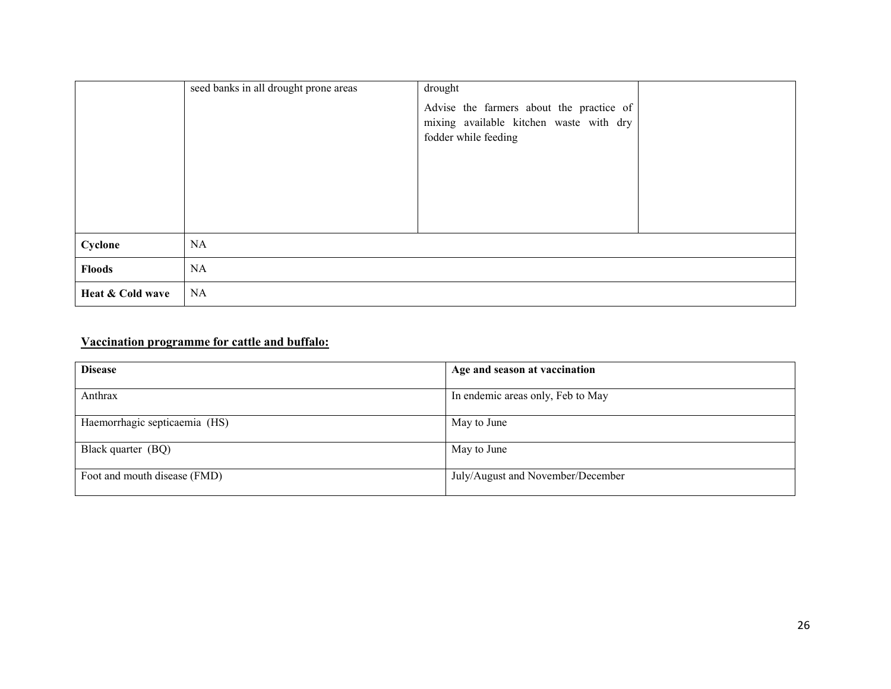|                  | seed banks in all drought prone areas | drought                                                                                                     |  |
|------------------|---------------------------------------|-------------------------------------------------------------------------------------------------------------|--|
|                  |                                       | Advise the farmers about the practice of<br>mixing available kitchen waste with dry<br>fodder while feeding |  |
| Cyclone          | <b>NA</b>                             |                                                                                                             |  |
| <b>Floods</b>    | NA                                    |                                                                                                             |  |
| Heat & Cold wave | <b>NA</b>                             |                                                                                                             |  |

#### Vaccination programme for cattle and buffalo:

| <b>Disease</b>                | Age and season at vaccination     |
|-------------------------------|-----------------------------------|
| Anthrax                       | In endemic areas only, Feb to May |
| Haemorrhagic septicaemia (HS) | May to June                       |
| Black quarter (BQ)            | May to June                       |
| Foot and mouth disease (FMD)  | July/August and November/December |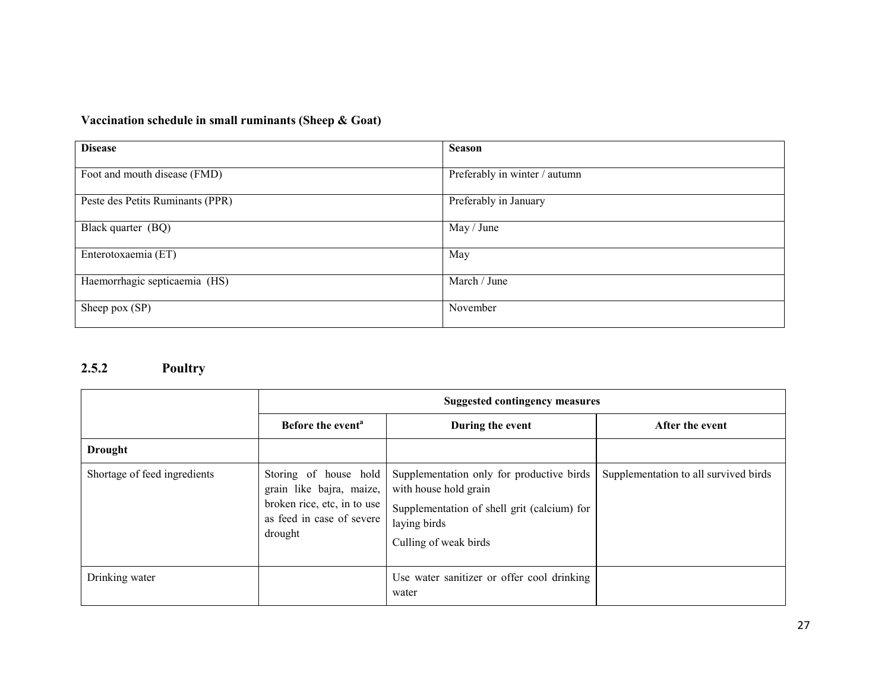#### Vaccination schedule in small ruminants (Sheep & Goat)

| <b>Disease</b>                   | <b>Season</b>                 |
|----------------------------------|-------------------------------|
| Foot and mouth disease (FMD)     | Preferably in winter / autumn |
| Peste des Petits Ruminants (PPR) | Preferably in January         |
| Black quarter (BQ)               | May / June                    |
| Enterotoxaemia (ET)              | May                           |
| Haemorrhagic septicaemia (HS)    | March / June                  |
| Sheep pox (SP)                   | November                      |

#### 2.5.2 Poultry

|                              | <b>Suggested contingency measures</b>                                                                                    |                                                                                                                                                            |                                       |
|------------------------------|--------------------------------------------------------------------------------------------------------------------------|------------------------------------------------------------------------------------------------------------------------------------------------------------|---------------------------------------|
|                              | Before the event <sup>a</sup>                                                                                            | During the event                                                                                                                                           | After the event                       |
| <b>Drought</b>               |                                                                                                                          |                                                                                                                                                            |                                       |
| Shortage of feed ingredients | Storing of house hold<br>grain like bajra, maize,<br>broken rice, etc, in to use<br>as feed in case of severe<br>drought | Supplementation only for productive birds<br>with house hold grain<br>Supplementation of shell grit (calcium) for<br>laying birds<br>Culling of weak birds | Supplementation to all survived birds |
| Drinking water               |                                                                                                                          | Use water sanitizer or offer cool drinking<br>water                                                                                                        |                                       |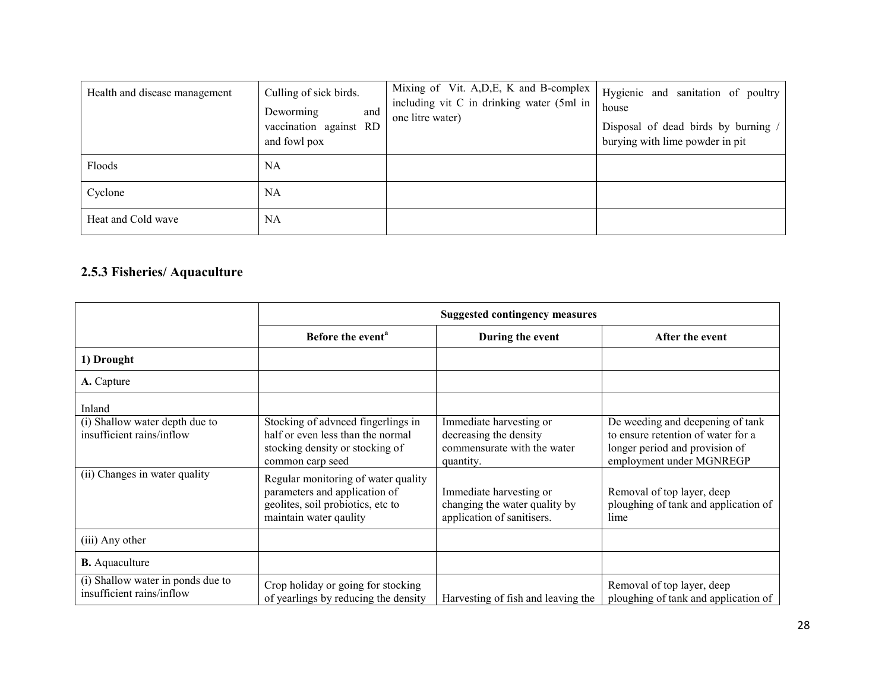| Health and disease management | Culling of sick birds.<br>Deworming<br>and<br>vaccination against RD<br>and fowl pox | Mixing of Vit. A, D, E, K and B-complex<br>including vit C in drinking water (5ml in<br>one litre water) | Hygienic and sanitation of poultry<br>house<br>Disposal of dead birds by burning /<br>burying with lime powder in pit |
|-------------------------------|--------------------------------------------------------------------------------------|----------------------------------------------------------------------------------------------------------|-----------------------------------------------------------------------------------------------------------------------|
| Floods                        | NA                                                                                   |                                                                                                          |                                                                                                                       |
| Cyclone                       | NA                                                                                   |                                                                                                          |                                                                                                                       |
| Heat and Cold wave            | NA                                                                                   |                                                                                                          |                                                                                                                       |

#### 2.5.3 Fisheries/ Aquaculture

|                                                                | <b>Suggested contingency measures</b>                                                                                               |                                                                                               |                                                                                                                                      |
|----------------------------------------------------------------|-------------------------------------------------------------------------------------------------------------------------------------|-----------------------------------------------------------------------------------------------|--------------------------------------------------------------------------------------------------------------------------------------|
|                                                                | Before the event <sup>a</sup>                                                                                                       | During the event                                                                              | After the event                                                                                                                      |
| 1) Drought                                                     |                                                                                                                                     |                                                                                               |                                                                                                                                      |
| A. Capture                                                     |                                                                                                                                     |                                                                                               |                                                                                                                                      |
| Inland                                                         |                                                                                                                                     |                                                                                               |                                                                                                                                      |
| (i) Shallow water depth due to<br>insufficient rains/inflow    | Stocking of advnced fingerlings in<br>half or even less than the normal<br>stocking density or stocking of<br>common carp seed      | Immediate harvesting or<br>decreasing the density<br>commensurate with the water<br>quantity. | De weeding and deepening of tank<br>to ensure retention of water for a<br>longer period and provision of<br>employment under MGNREGP |
| (ii) Changes in water quality                                  | Regular monitoring of water quality<br>parameters and application of<br>geolites, soil probiotics, etc to<br>maintain water qaulity | Immediate harvesting or<br>changing the water quality by<br>application of sanitisers.        | Removal of top layer, deep<br>ploughing of tank and application of<br>lime                                                           |
| (iii) Any other                                                |                                                                                                                                     |                                                                                               |                                                                                                                                      |
| <b>B.</b> Aquaculture                                          |                                                                                                                                     |                                                                                               |                                                                                                                                      |
| (i) Shallow water in ponds due to<br>insufficient rains/inflow | Crop holiday or going for stocking<br>of yearlings by reducing the density                                                          | Harvesting of fish and leaving the                                                            | Removal of top layer, deep<br>ploughing of tank and application of                                                                   |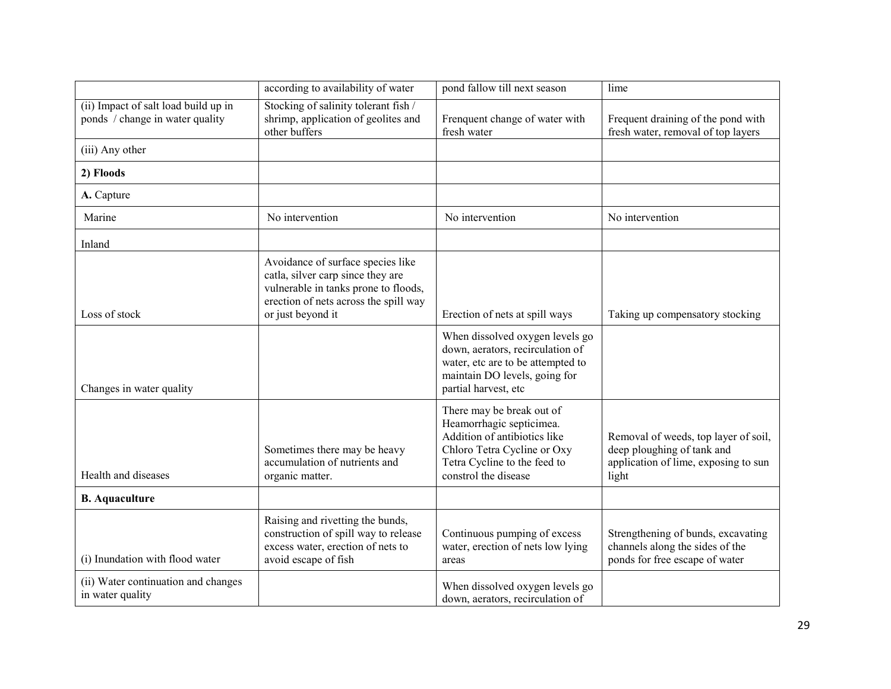|                                                                         | according to availability of water                                                                                                                                           | pond fallow till next season                                                                                                                                                 | lime                                                                                                                |
|-------------------------------------------------------------------------|------------------------------------------------------------------------------------------------------------------------------------------------------------------------------|------------------------------------------------------------------------------------------------------------------------------------------------------------------------------|---------------------------------------------------------------------------------------------------------------------|
| (ii) Impact of salt load build up in<br>ponds / change in water quality | Stocking of salinity tolerant fish /<br>shrimp, application of geolites and<br>other buffers                                                                                 | Frenquent change of water with<br>fresh water                                                                                                                                | Frequent draining of the pond with<br>fresh water, removal of top layers                                            |
| (iii) Any other                                                         |                                                                                                                                                                              |                                                                                                                                                                              |                                                                                                                     |
| 2) Floods                                                               |                                                                                                                                                                              |                                                                                                                                                                              |                                                                                                                     |
| A. Capture                                                              |                                                                                                                                                                              |                                                                                                                                                                              |                                                                                                                     |
| Marine                                                                  | No intervention                                                                                                                                                              | No intervention                                                                                                                                                              | No intervention                                                                                                     |
| Inland                                                                  |                                                                                                                                                                              |                                                                                                                                                                              |                                                                                                                     |
| Loss of stock                                                           | Avoidance of surface species like<br>catla, silver carp since they are<br>vulnerable in tanks prone to floods,<br>erection of nets across the spill way<br>or just beyond it | Erection of nets at spill ways                                                                                                                                               | Taking up compensatory stocking                                                                                     |
| Changes in water quality                                                |                                                                                                                                                                              | When dissolved oxygen levels go<br>down, aerators, recirculation of<br>water, etc are to be attempted to<br>maintain DO levels, going for<br>partial harvest, etc            |                                                                                                                     |
| Health and diseases                                                     | Sometimes there may be heavy<br>accumulation of nutrients and<br>organic matter.                                                                                             | There may be break out of<br>Heamorrhagic septicimea.<br>Addition of antibiotics like<br>Chloro Tetra Cycline or Oxy<br>Tetra Cycline to the feed to<br>constrol the disease | Removal of weeds, top layer of soil,<br>deep ploughing of tank and<br>application of lime, exposing to sun<br>light |
| <b>B.</b> Aquaculture                                                   |                                                                                                                                                                              |                                                                                                                                                                              |                                                                                                                     |
| (i) Inundation with flood water                                         | Raising and rivetting the bunds,<br>construction of spill way to release<br>excess water, erection of nets to<br>avoid escape of fish                                        | Continuous pumping of excess<br>water, erection of nets low lying<br>areas                                                                                                   | Strengthening of bunds, excavating<br>channels along the sides of the<br>ponds for free escape of water             |
| (ii) Water continuation and changes<br>in water quality                 |                                                                                                                                                                              | When dissolved oxygen levels go<br>down, aerators, recirculation of                                                                                                          |                                                                                                                     |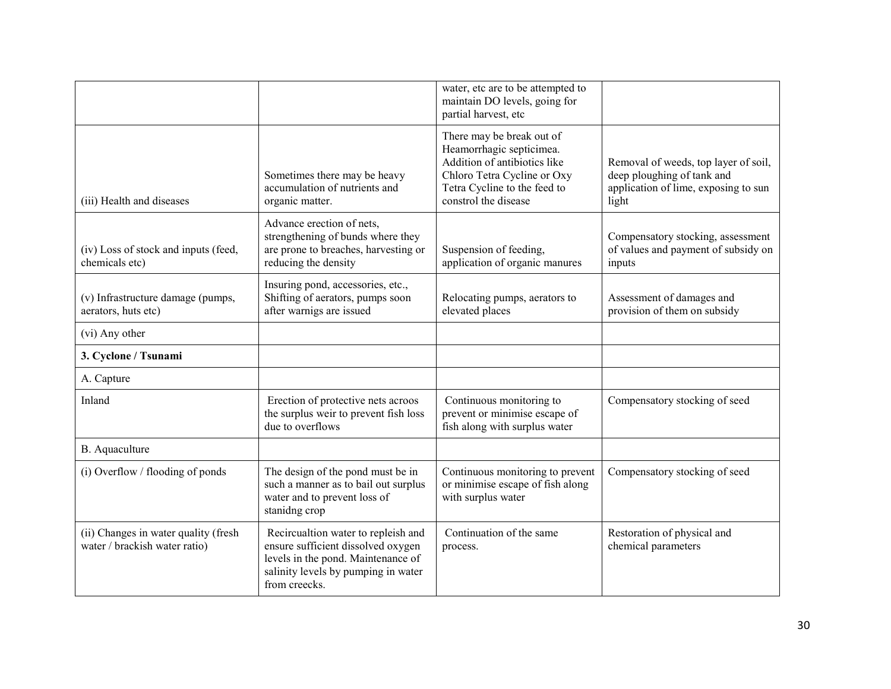|                                                                       |                                                                                                                                                                         | water, etc are to be attempted to<br>maintain DO levels, going for<br>partial harvest, etc                                                                                   |                                                                                                                     |
|-----------------------------------------------------------------------|-------------------------------------------------------------------------------------------------------------------------------------------------------------------------|------------------------------------------------------------------------------------------------------------------------------------------------------------------------------|---------------------------------------------------------------------------------------------------------------------|
| (iii) Health and diseases                                             | Sometimes there may be heavy<br>accumulation of nutrients and<br>organic matter.                                                                                        | There may be break out of<br>Heamorrhagic septicimea.<br>Addition of antibiotics like<br>Chloro Tetra Cycline or Oxy<br>Tetra Cycline to the feed to<br>constrol the disease | Removal of weeds, top layer of soil,<br>deep ploughing of tank and<br>application of lime, exposing to sun<br>light |
| (iv) Loss of stock and inputs (feed,<br>chemicals etc)                | Advance erection of nets.<br>strengthening of bunds where they<br>are prone to breaches, harvesting or<br>reducing the density                                          | Suspension of feeding,<br>application of organic manures                                                                                                                     | Compensatory stocking, assessment<br>of values and payment of subsidy on<br>inputs                                  |
| (v) Infrastructure damage (pumps,<br>aerators, huts etc)              | Insuring pond, accessories, etc.,<br>Shifting of aerators, pumps soon<br>after warnigs are issued                                                                       | Relocating pumps, aerators to<br>elevated places                                                                                                                             | Assessment of damages and<br>provision of them on subsidy                                                           |
| (vi) Any other                                                        |                                                                                                                                                                         |                                                                                                                                                                              |                                                                                                                     |
| 3. Cyclone / Tsunami                                                  |                                                                                                                                                                         |                                                                                                                                                                              |                                                                                                                     |
| A. Capture                                                            |                                                                                                                                                                         |                                                                                                                                                                              |                                                                                                                     |
| Inland                                                                | Erection of protective nets acroos<br>the surplus weir to prevent fish loss<br>due to overflows                                                                         | Continuous monitoring to<br>prevent or minimise escape of<br>fish along with surplus water                                                                                   | Compensatory stocking of seed                                                                                       |
| B. Aquaculture                                                        |                                                                                                                                                                         |                                                                                                                                                                              |                                                                                                                     |
| (i) Overflow / flooding of ponds                                      | The design of the pond must be in<br>such a manner as to bail out surplus<br>water and to prevent loss of<br>stanidng crop                                              | Continuous monitoring to prevent<br>or minimise escape of fish along<br>with surplus water                                                                                   | Compensatory stocking of seed                                                                                       |
| (ii) Changes in water quality (fresh<br>water / brackish water ratio) | Recircualtion water to repleish and<br>ensure sufficient dissolved oxygen<br>levels in the pond. Maintenance of<br>salinity levels by pumping in water<br>from creecks. | Continuation of the same<br>process.                                                                                                                                         | Restoration of physical and<br>chemical parameters                                                                  |